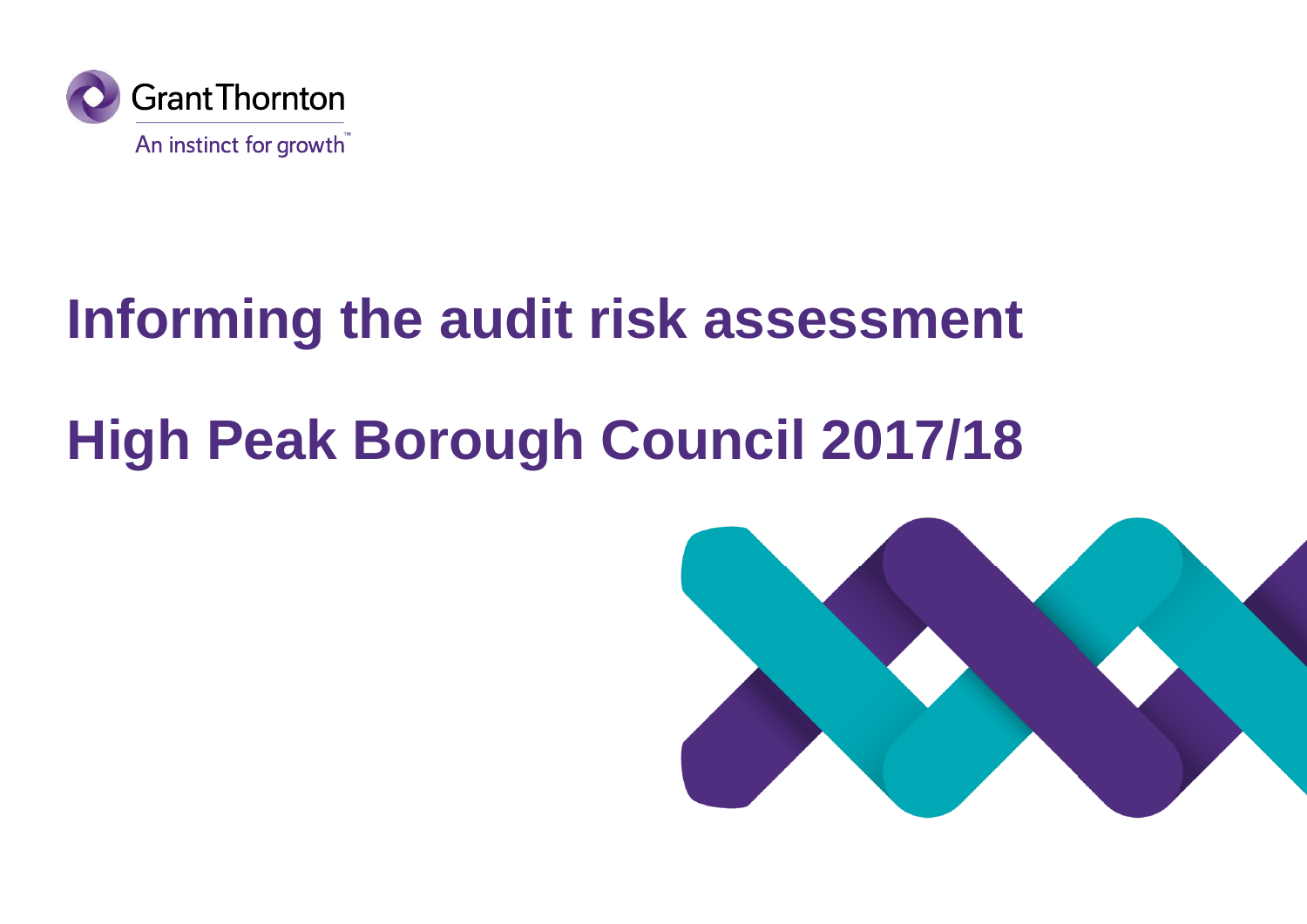

## **Informing the audit risk assessment**

# **High Peak Borough Council 2017/18**

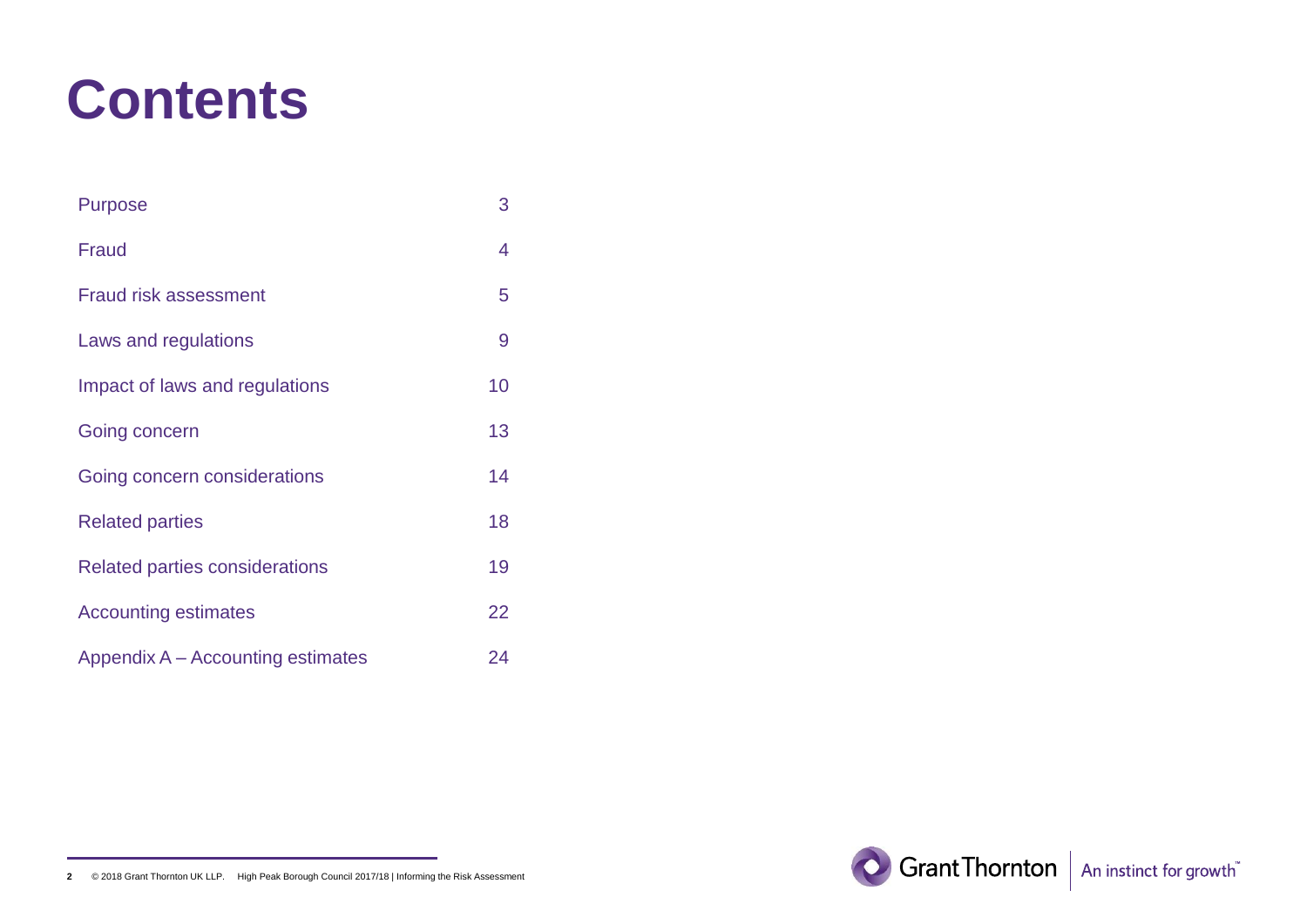### **Contents**

| <b>Purpose</b>                        | 3  |
|---------------------------------------|----|
| Fraud                                 | 4  |
| <b>Fraud risk assessment</b>          | 5  |
| Laws and regulations                  | 9  |
| Impact of laws and regulations        | 10 |
| Going concern                         | 13 |
| Going concern considerations          | 14 |
| <b>Related parties</b>                | 18 |
| <b>Related parties considerations</b> | 19 |
| <b>Accounting estimates</b>           | 22 |
| Appendix A – Accounting estimates     | 24 |

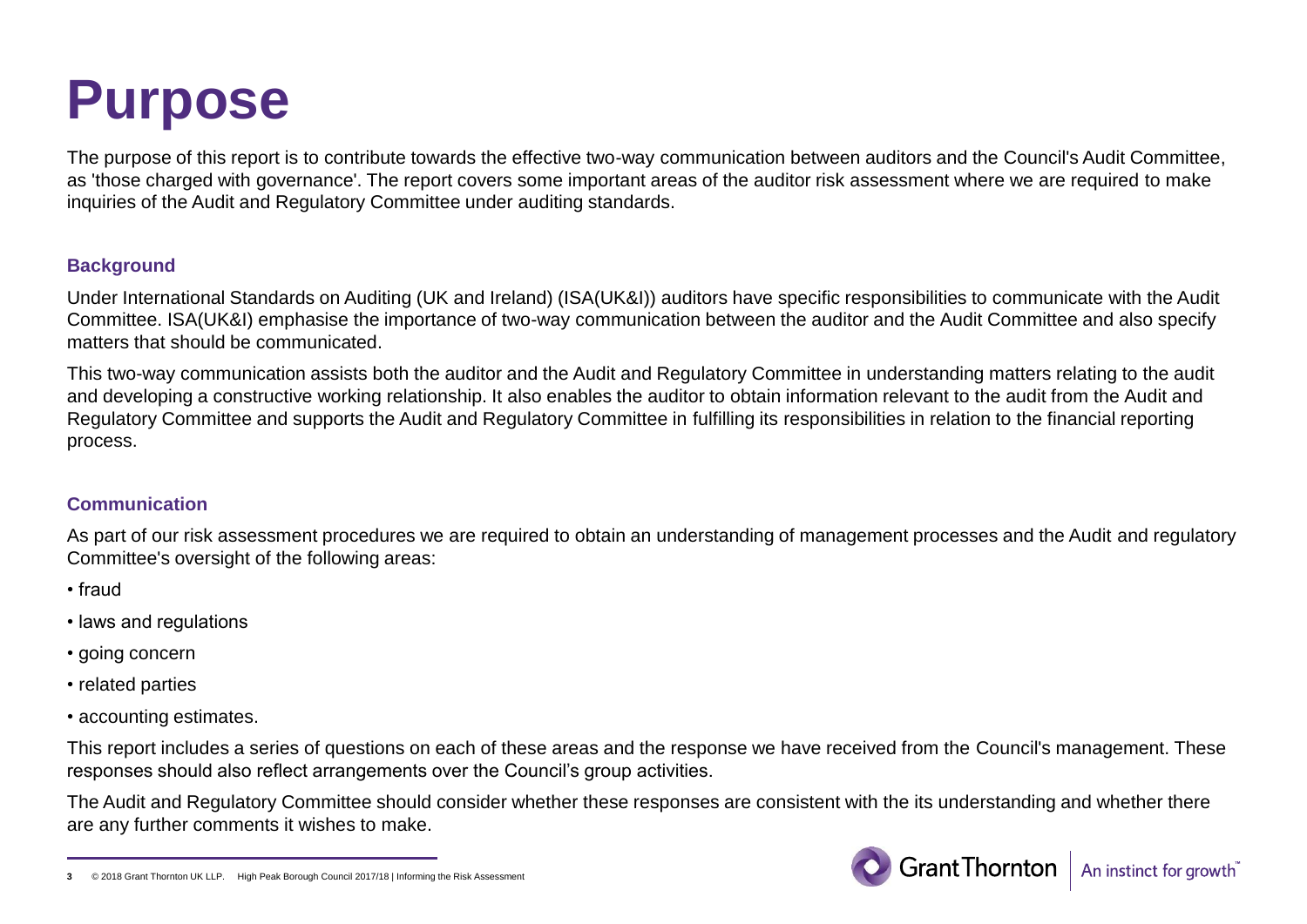### **Purpose**

The purpose of this report is to contribute towards the effective two-way communication between auditors and the Council's Audit Committee, as 'those charged with governance'. The report covers some important areas of the auditor risk assessment where we are required to make inquiries of the Audit and Regulatory Committee under auditing standards.

#### **Background**

Under International Standards on Auditing (UK and Ireland) (ISA(UK&I)) auditors have specific responsibilities to communicate with the Audit Committee. ISA(UK&I) emphasise the importance of two-way communication between the auditor and the Audit Committee and also specify matters that should be communicated.

This two-way communication assists both the auditor and the Audit and Regulatory Committee in understanding matters relating to the audit and developing a constructive working relationship. It also enables the auditor to obtain information relevant to the audit from the Audit and Regulatory Committee and supports the Audit and Regulatory Committee in fulfilling its responsibilities in relation to the financial reporting process.

#### **Communication**

As part of our risk assessment procedures we are required to obtain an understanding of management processes and the Audit and regulatory Committee's oversight of the following areas:

- fraud
- laws and regulations
- going concern
- related parties
- accounting estimates.

This report includes a series of questions on each of these areas and the response we have received from the Council's management. These responses should also reflect arrangements over the Council's group activities.

The Audit and Regulatory Committee should consider whether these responses are consistent with the its understanding and whether there are any further comments it wishes to make.



**<sup>3</sup>** © 2018 Grant Thornton UK LLP. High Peak Borough Council 2017/18 | Informing the Risk Assessment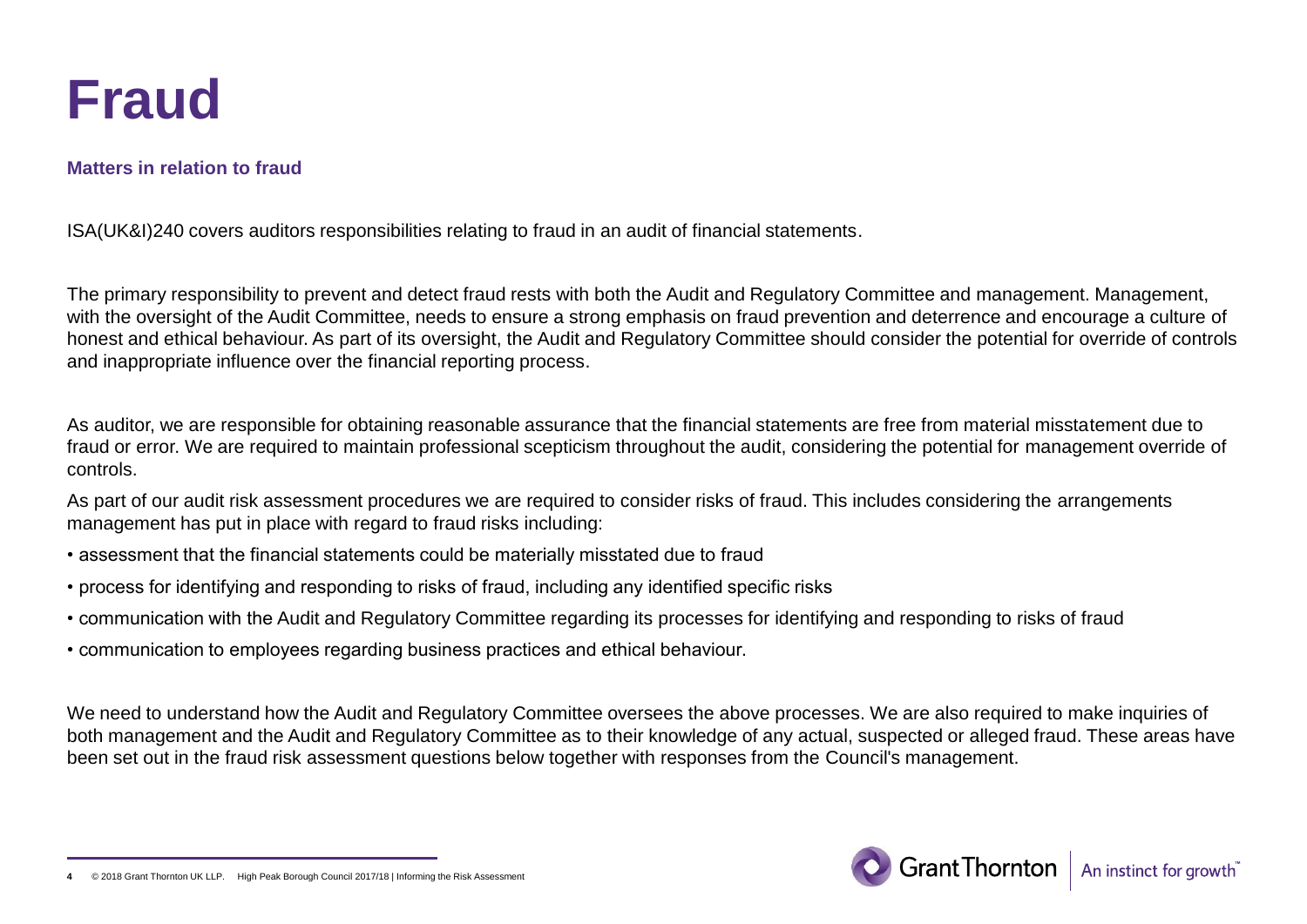

#### **Matters in relation to fraud**

ISA(UK&I)240 covers auditors responsibilities relating to fraud in an audit of financial statements.

The primary responsibility to prevent and detect fraud rests with both the Audit and Regulatory Committee and management. Management, with the oversight of the Audit Committee, needs to ensure a strong emphasis on fraud prevention and deterrence and encourage a culture of honest and ethical behaviour. As part of its oversight, the Audit and Regulatory Committee should consider the potential for override of controls and inappropriate influence over the financial reporting process.

As auditor, we are responsible for obtaining reasonable assurance that the financial statements are free from material misstatement due to fraud or error. We are required to maintain professional scepticism throughout the audit, considering the potential for management override of controls.

As part of our audit risk assessment procedures we are required to consider risks of fraud. This includes considering the arrangements management has put in place with regard to fraud risks including:

- assessment that the financial statements could be materially misstated due to fraud
- process for identifying and responding to risks of fraud, including any identified specific risks
- communication with the Audit and Regulatory Committee regarding its processes for identifying and responding to risks of fraud
- communication to employees regarding business practices and ethical behaviour.

We need to understand how the Audit and Regulatory Committee oversees the above processes. We are also required to make inquiries of both management and the Audit and Regulatory Committee as to their knowledge of any actual, suspected or alleged fraud. These areas have been set out in the fraud risk assessment questions below together with responses from the Council's management.



 $@$  2018 Grant Thornton UK LLP. High Peak Borough Council 2017/18 | Informing the Risk Assessmen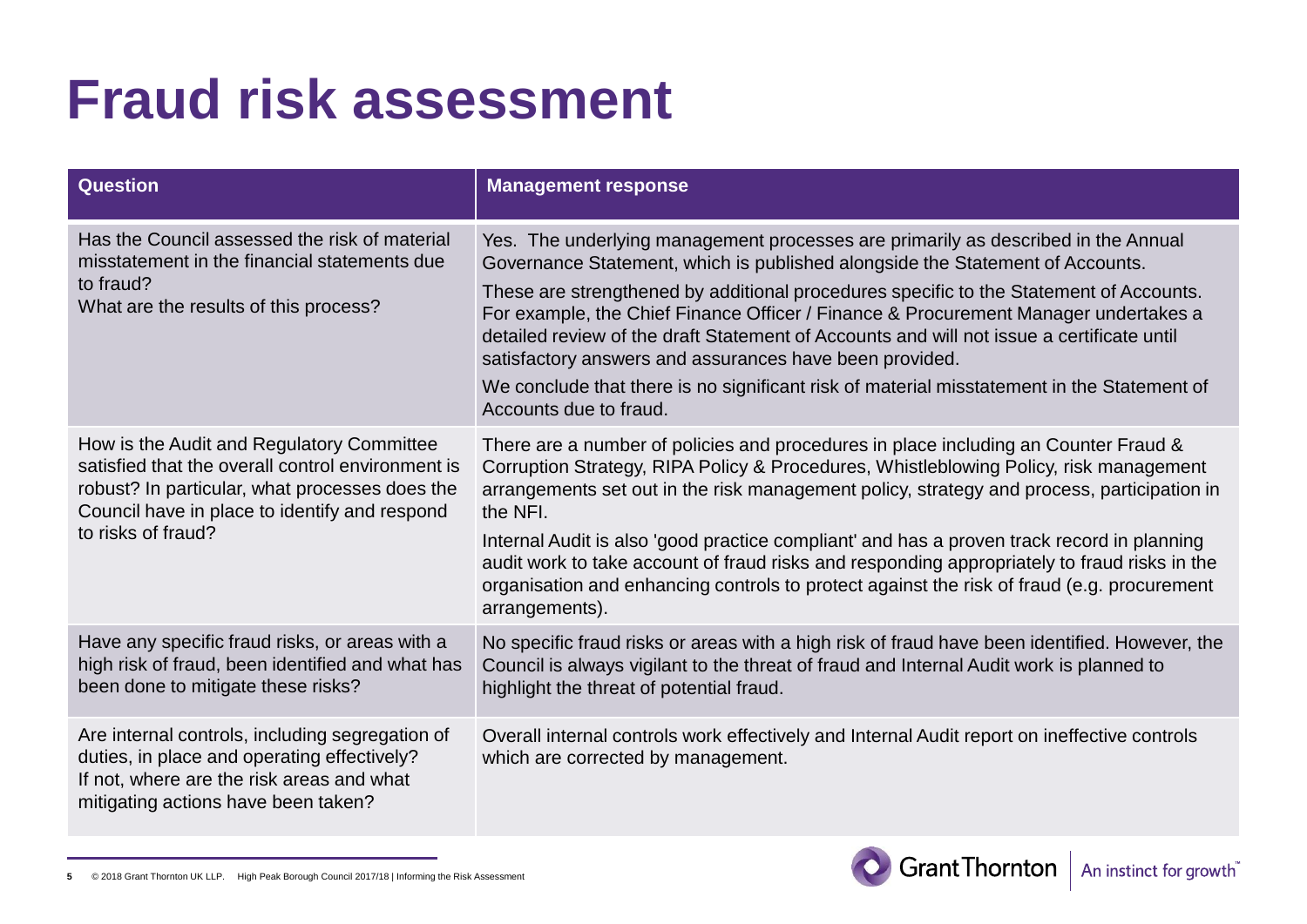| <b>Question</b>                                                                                                                                                                                                         | <b>Management response</b>                                                                                                                                                                                                                                                                                                                                                                                                                                                                                                                                                                                                          |
|-------------------------------------------------------------------------------------------------------------------------------------------------------------------------------------------------------------------------|-------------------------------------------------------------------------------------------------------------------------------------------------------------------------------------------------------------------------------------------------------------------------------------------------------------------------------------------------------------------------------------------------------------------------------------------------------------------------------------------------------------------------------------------------------------------------------------------------------------------------------------|
| Has the Council assessed the risk of material<br>misstatement in the financial statements due<br>to fraud?<br>What are the results of this process?                                                                     | Yes. The underlying management processes are primarily as described in the Annual<br>Governance Statement, which is published alongside the Statement of Accounts.<br>These are strengthened by additional procedures specific to the Statement of Accounts.<br>For example, the Chief Finance Officer / Finance & Procurement Manager undertakes a<br>detailed review of the draft Statement of Accounts and will not issue a certificate until<br>satisfactory answers and assurances have been provided.<br>We conclude that there is no significant risk of material misstatement in the Statement of<br>Accounts due to fraud. |
| How is the Audit and Regulatory Committee<br>satisfied that the overall control environment is<br>robust? In particular, what processes does the<br>Council have in place to identify and respond<br>to risks of fraud? | There are a number of policies and procedures in place including an Counter Fraud &<br>Corruption Strategy, RIPA Policy & Procedures, Whistleblowing Policy, risk management<br>arrangements set out in the risk management policy, strategy and process, participation in<br>the NFI.<br>Internal Audit is also 'good practice compliant' and has a proven track record in planning<br>audit work to take account of fraud risks and responding appropriately to fraud risks in the<br>organisation and enhancing controls to protect against the risk of fraud (e.g. procurement<br>arrangements).                                |
| Have any specific fraud risks, or areas with a<br>high risk of fraud, been identified and what has<br>been done to mitigate these risks?                                                                                | No specific fraud risks or areas with a high risk of fraud have been identified. However, the<br>Council is always vigilant to the threat of fraud and Internal Audit work is planned to<br>highlight the threat of potential fraud.                                                                                                                                                                                                                                                                                                                                                                                                |
| Are internal controls, including segregation of<br>duties, in place and operating effectively?<br>If not, where are the risk areas and what<br>mitigating actions have been taken?                                      | Overall internal controls work effectively and Internal Audit report on ineffective controls<br>which are corrected by management.                                                                                                                                                                                                                                                                                                                                                                                                                                                                                                  |



**5** © 2018 Grant Thornton UK LLP. High Peak Borough Council 2017/18 | Informing the Risk Assessment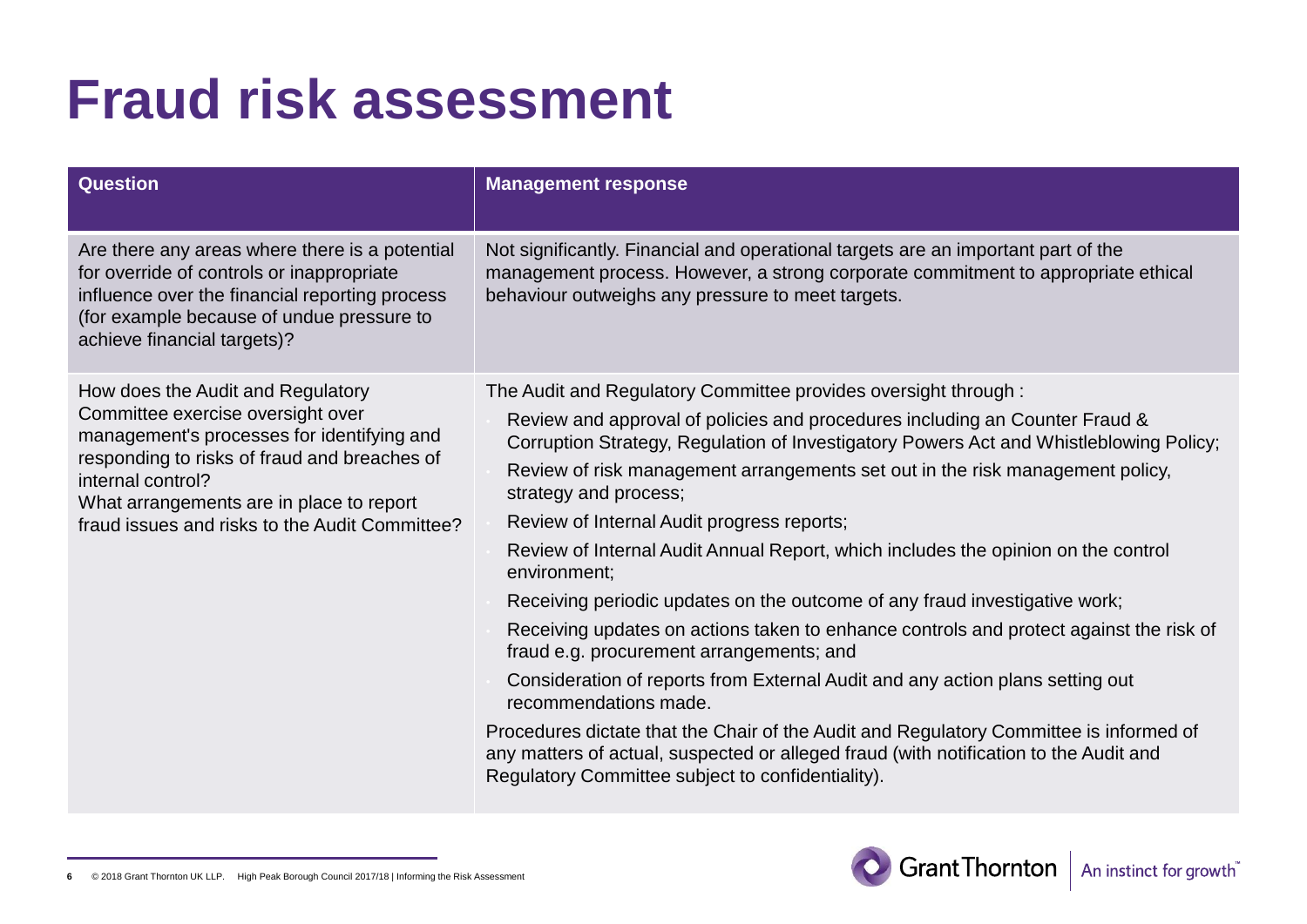| <b>Question</b>                                                                                                                                                                                                                                                                         | <b>Management response</b>                                                                                                                                                                                                                                                                                                                                                                                                                                                                                                                                                                                                                                                                                                                                                                                                                                                                                                                                                                                                                                                 |
|-----------------------------------------------------------------------------------------------------------------------------------------------------------------------------------------------------------------------------------------------------------------------------------------|----------------------------------------------------------------------------------------------------------------------------------------------------------------------------------------------------------------------------------------------------------------------------------------------------------------------------------------------------------------------------------------------------------------------------------------------------------------------------------------------------------------------------------------------------------------------------------------------------------------------------------------------------------------------------------------------------------------------------------------------------------------------------------------------------------------------------------------------------------------------------------------------------------------------------------------------------------------------------------------------------------------------------------------------------------------------------|
| Are there any areas where there is a potential<br>for override of controls or inappropriate<br>influence over the financial reporting process<br>(for example because of undue pressure to<br>achieve financial targets)?                                                               | Not significantly. Financial and operational targets are an important part of the<br>management process. However, a strong corporate commitment to appropriate ethical<br>behaviour outweighs any pressure to meet targets.                                                                                                                                                                                                                                                                                                                                                                                                                                                                                                                                                                                                                                                                                                                                                                                                                                                |
| How does the Audit and Regulatory<br>Committee exercise oversight over<br>management's processes for identifying and<br>responding to risks of fraud and breaches of<br>internal control?<br>What arrangements are in place to report<br>fraud issues and risks to the Audit Committee? | The Audit and Regulatory Committee provides oversight through:<br>Review and approval of policies and procedures including an Counter Fraud &<br>Corruption Strategy, Regulation of Investigatory Powers Act and Whistleblowing Policy;<br>Review of risk management arrangements set out in the risk management policy,<br>strategy and process;<br>Review of Internal Audit progress reports;<br>Review of Internal Audit Annual Report, which includes the opinion on the control<br>environment;<br>Receiving periodic updates on the outcome of any fraud investigative work;<br>Receiving updates on actions taken to enhance controls and protect against the risk of<br>fraud e.g. procurement arrangements; and<br>Consideration of reports from External Audit and any action plans setting out<br>recommendations made.<br>Procedures dictate that the Chair of the Audit and Regulatory Committee is informed of<br>any matters of actual, suspected or alleged fraud (with notification to the Audit and<br>Regulatory Committee subject to confidentiality). |

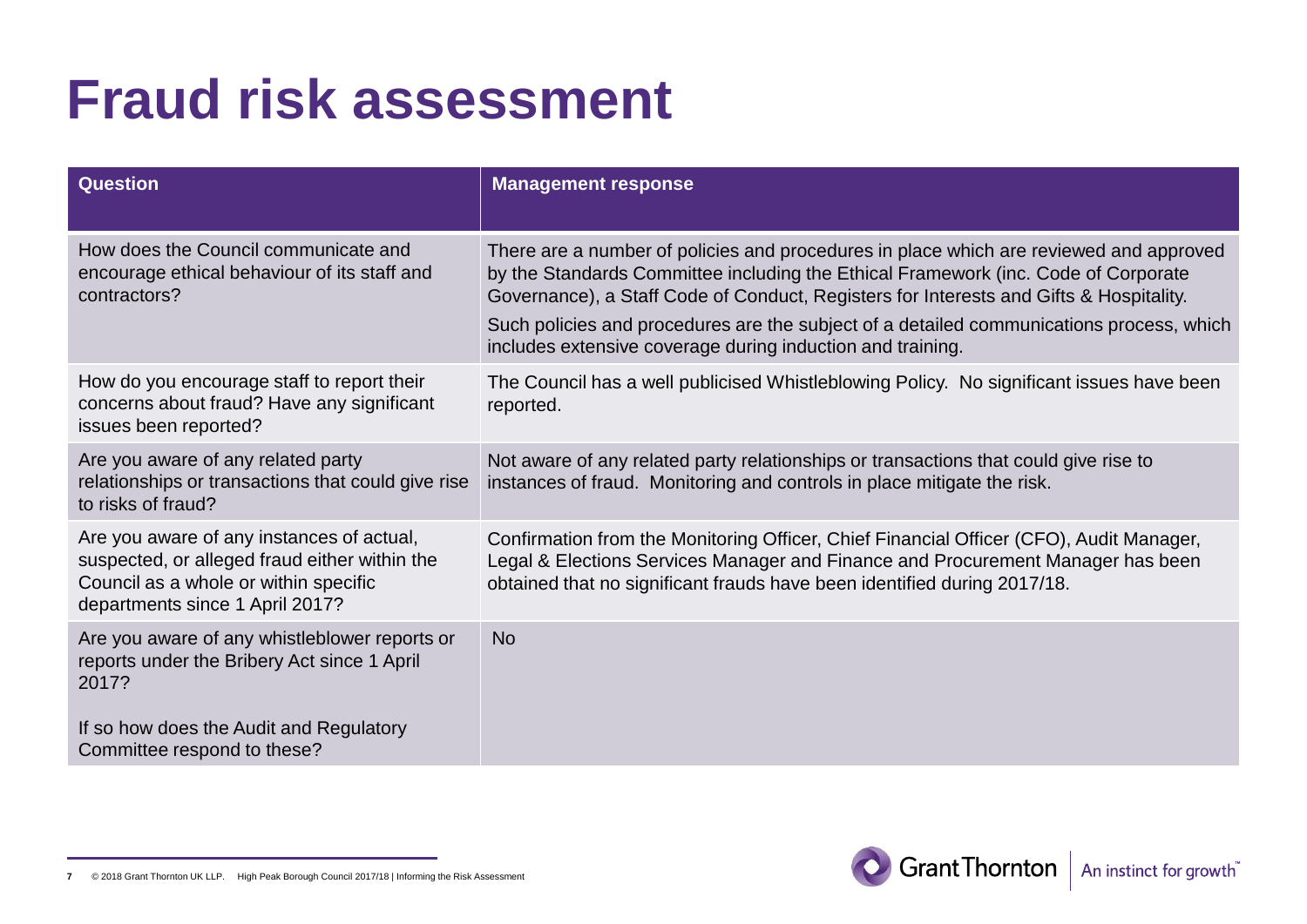| <b>Question</b>                                                                                                                                                                 | <b>Management response</b>                                                                                                                                                                                                                                                                                                                                                                                                       |
|---------------------------------------------------------------------------------------------------------------------------------------------------------------------------------|----------------------------------------------------------------------------------------------------------------------------------------------------------------------------------------------------------------------------------------------------------------------------------------------------------------------------------------------------------------------------------------------------------------------------------|
| How does the Council communicate and<br>encourage ethical behaviour of its staff and<br>contractors?                                                                            | There are a number of policies and procedures in place which are reviewed and approved<br>by the Standards Committee including the Ethical Framework (inc. Code of Corporate<br>Governance), a Staff Code of Conduct, Registers for Interests and Gifts & Hospitality.<br>Such policies and procedures are the subject of a detailed communications process, which<br>includes extensive coverage during induction and training. |
| How do you encourage staff to report their<br>concerns about fraud? Have any significant<br>issues been reported?                                                               | The Council has a well publicised Whistleblowing Policy. No significant issues have been<br>reported.                                                                                                                                                                                                                                                                                                                            |
| Are you aware of any related party<br>relationships or transactions that could give rise<br>to risks of fraud?                                                                  | Not aware of any related party relationships or transactions that could give rise to<br>instances of fraud. Monitoring and controls in place mitigate the risk.                                                                                                                                                                                                                                                                  |
| Are you aware of any instances of actual,<br>suspected, or alleged fraud either within the<br>Council as a whole or within specific<br>departments since 1 April 2017?          | Confirmation from the Monitoring Officer, Chief Financial Officer (CFO), Audit Manager,<br>Legal & Elections Services Manager and Finance and Procurement Manager has been<br>obtained that no significant frauds have been identified during 2017/18.                                                                                                                                                                           |
| Are you aware of any whistleblower reports or<br>reports under the Bribery Act since 1 April<br>2017?<br>If so how does the Audit and Regulatory<br>Committee respond to these? | <b>No</b>                                                                                                                                                                                                                                                                                                                                                                                                                        |



**<sup>7</sup>** © 2018 Grant Thornton UK LLP. High Peak Borough Council 2017/18 | Informing the Risk Assessment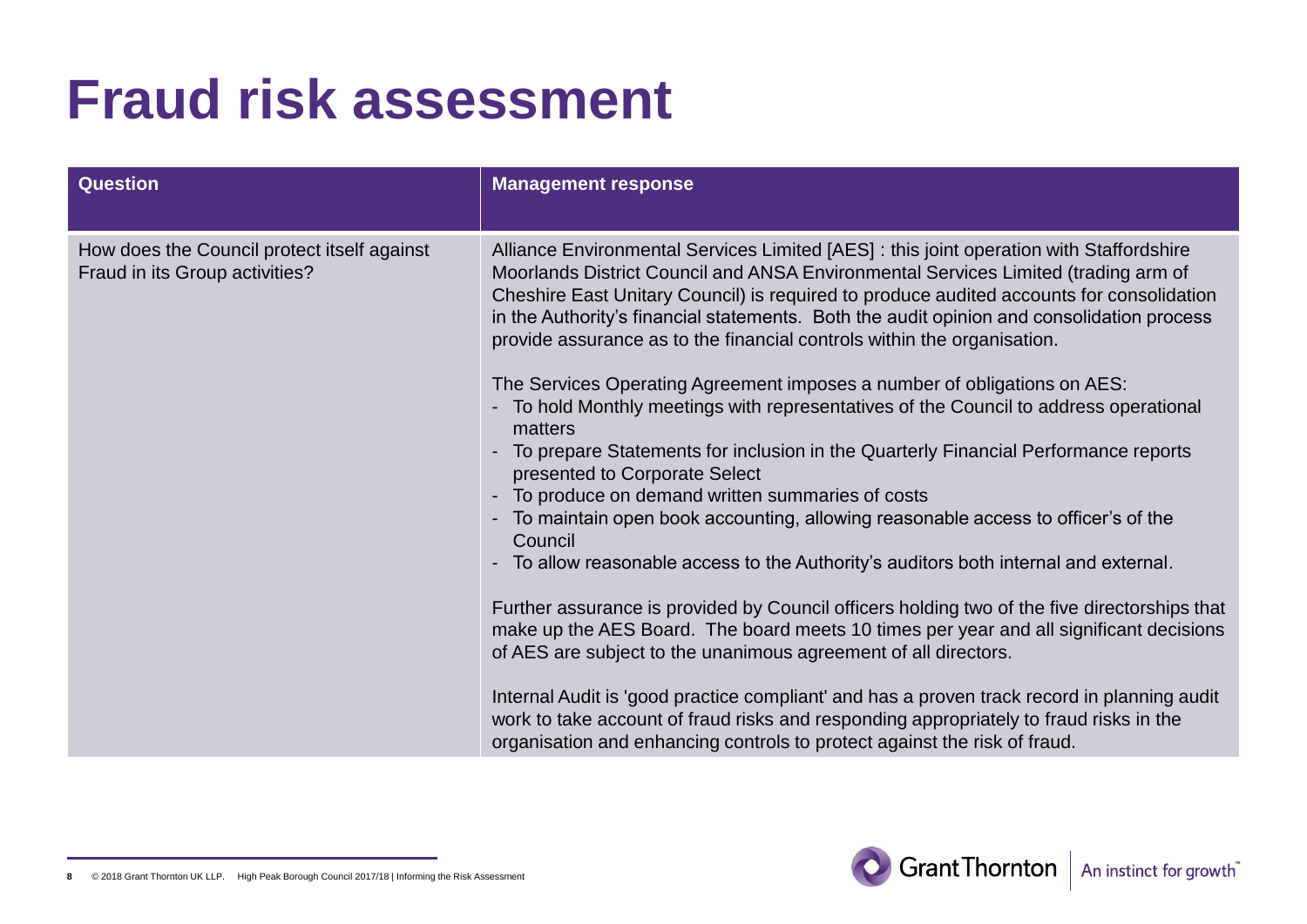| <b>Question</b>                                                               | <b>Management response</b>                                                                                                                                                                                                                                                                                                                                                                                                                        |
|-------------------------------------------------------------------------------|---------------------------------------------------------------------------------------------------------------------------------------------------------------------------------------------------------------------------------------------------------------------------------------------------------------------------------------------------------------------------------------------------------------------------------------------------|
| How does the Council protect itself against<br>Fraud in its Group activities? | Alliance Environmental Services Limited [AES] : this joint operation with Staffordshire<br>Moorlands District Council and ANSA Environmental Services Limited (trading arm of<br>Cheshire East Unitary Council) is required to produce audited accounts for consolidation<br>in the Authority's financial statements. Both the audit opinion and consolidation process<br>provide assurance as to the financial controls within the organisation. |
|                                                                               | The Services Operating Agreement imposes a number of obligations on AES:<br>- To hold Monthly meetings with representatives of the Council to address operational<br>matters                                                                                                                                                                                                                                                                      |
|                                                                               | - To prepare Statements for inclusion in the Quarterly Financial Performance reports<br>presented to Corporate Select                                                                                                                                                                                                                                                                                                                             |
|                                                                               | To produce on demand written summaries of costs<br>- To maintain open book accounting, allowing reasonable access to officer's of the<br>Council                                                                                                                                                                                                                                                                                                  |
|                                                                               | To allow reasonable access to the Authority's auditors both internal and external.<br>$\blacksquare$                                                                                                                                                                                                                                                                                                                                              |
|                                                                               | Further assurance is provided by Council officers holding two of the five directorships that<br>make up the AES Board. The board meets 10 times per year and all significant decisions<br>of AES are subject to the unanimous agreement of all directors.                                                                                                                                                                                         |
|                                                                               | Internal Audit is 'good practice compliant' and has a proven track record in planning audit<br>work to take account of fraud risks and responding appropriately to fraud risks in the<br>organisation and enhancing controls to protect against the risk of fraud.                                                                                                                                                                                |

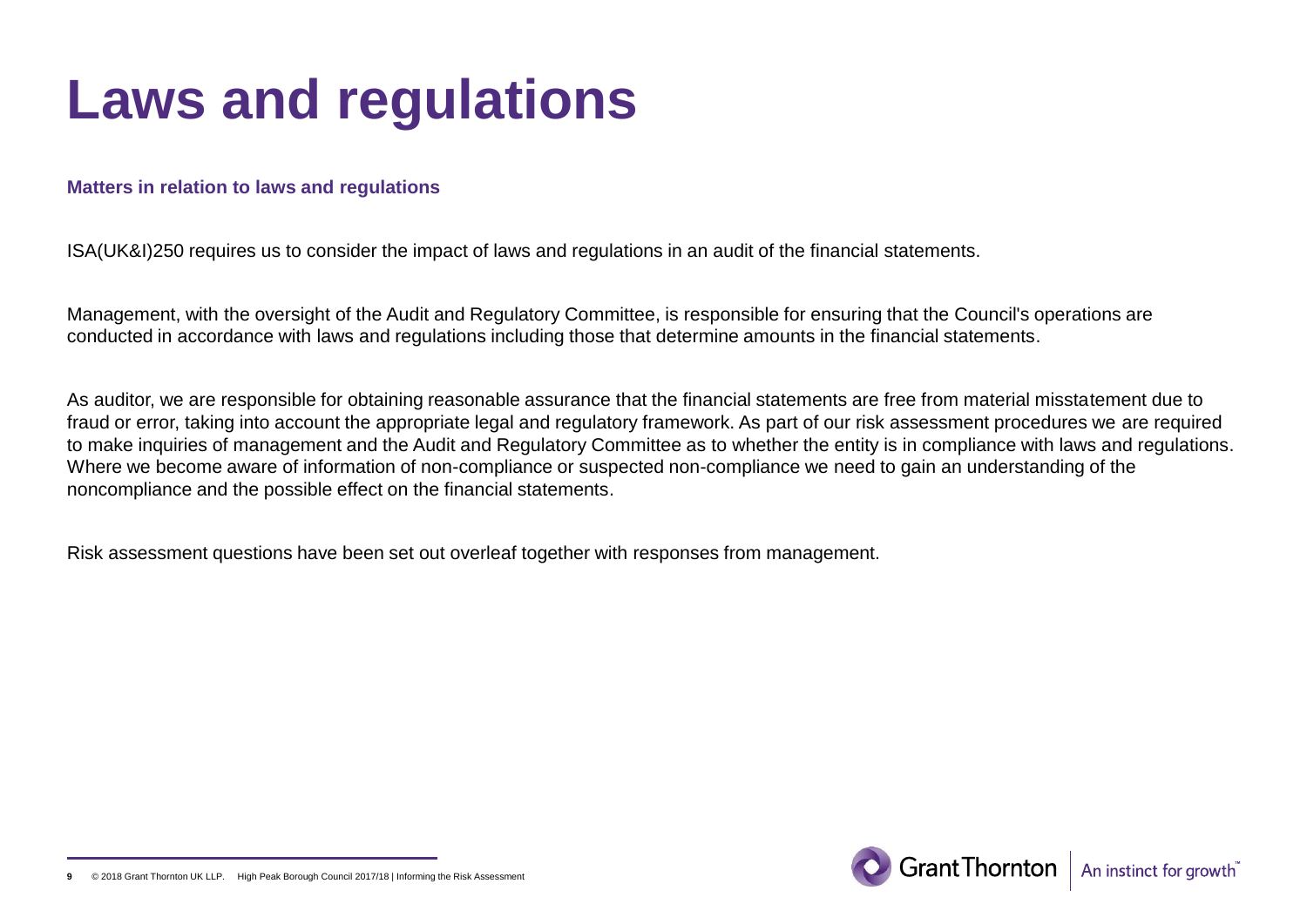## **Laws and regulations**

#### **Matters in relation to laws and regulations**

ISA(UK&I)250 requires us to consider the impact of laws and regulations in an audit of the financial statements.

Management, with the oversight of the Audit and Regulatory Committee, is responsible for ensuring that the Council's operations are conducted in accordance with laws and regulations including those that determine amounts in the financial statements.

As auditor, we are responsible for obtaining reasonable assurance that the financial statements are free from material misstatement due to fraud or error, taking into account the appropriate legal and regulatory framework. As part of our risk assessment procedures we are required to make inquiries of management and the Audit and Regulatory Committee as to whether the entity is in compliance with laws and regulations. Where we become aware of information of non-compliance or suspected non-compliance we need to gain an understanding of the noncompliance and the possible effect on the financial statements.

Risk assessment questions have been set out overleaf together with responses from management.



**<sup>9</sup>** © 2018 Grant Thornton UK LLP. High Peak Borough Council 2017/18 | Informing the Risk Assessment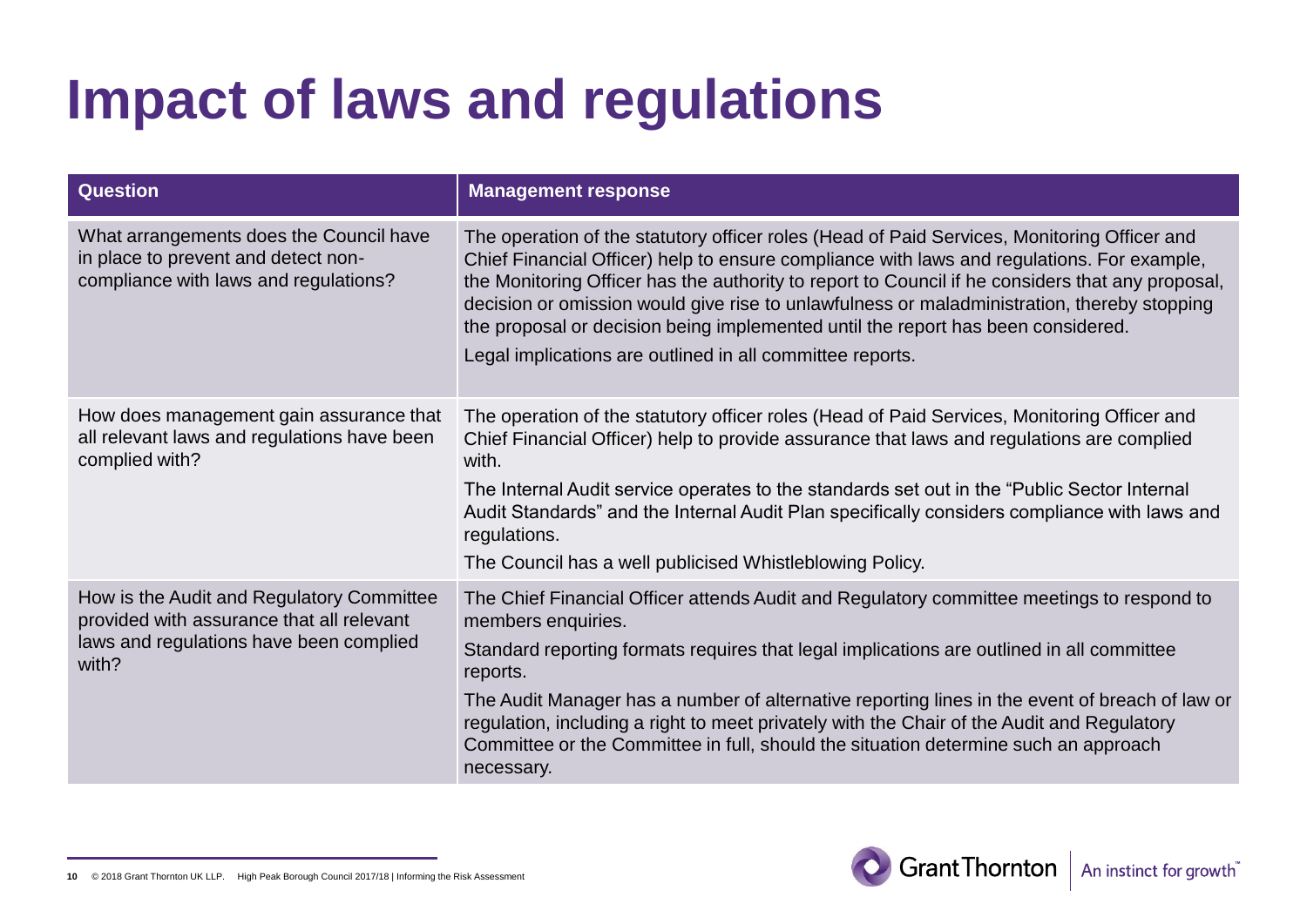# **Impact of laws and regulations**

| <b>Question</b>                                                                                                                            | <b>Management response</b>                                                                                                                                                                                                                                                                                                                                                                                                                                                                                                                    |
|--------------------------------------------------------------------------------------------------------------------------------------------|-----------------------------------------------------------------------------------------------------------------------------------------------------------------------------------------------------------------------------------------------------------------------------------------------------------------------------------------------------------------------------------------------------------------------------------------------------------------------------------------------------------------------------------------------|
| What arrangements does the Council have<br>in place to prevent and detect non-<br>compliance with laws and regulations?                    | The operation of the statutory officer roles (Head of Paid Services, Monitoring Officer and<br>Chief Financial Officer) help to ensure compliance with laws and regulations. For example,<br>the Monitoring Officer has the authority to report to Council if he considers that any proposal,<br>decision or omission would give rise to unlawfulness or maladministration, thereby stopping<br>the proposal or decision being implemented until the report has been considered.<br>Legal implications are outlined in all committee reports. |
| How does management gain assurance that<br>all relevant laws and regulations have been<br>complied with?                                   | The operation of the statutory officer roles (Head of Paid Services, Monitoring Officer and<br>Chief Financial Officer) help to provide assurance that laws and regulations are complied<br>with.<br>The Internal Audit service operates to the standards set out in the "Public Sector Internal<br>Audit Standards" and the Internal Audit Plan specifically considers compliance with laws and<br>regulations.<br>The Council has a well publicised Whistleblowing Policy.                                                                  |
| How is the Audit and Regulatory Committee<br>provided with assurance that all relevant<br>laws and regulations have been complied<br>with? | The Chief Financial Officer attends Audit and Regulatory committee meetings to respond to<br>members enquiries.<br>Standard reporting formats requires that legal implications are outlined in all committee<br>reports.<br>The Audit Manager has a number of alternative reporting lines in the event of breach of law or<br>regulation, including a right to meet privately with the Chair of the Audit and Regulatory<br>Committee or the Committee in full, should the situation determine such an approach<br>necessary.                 |

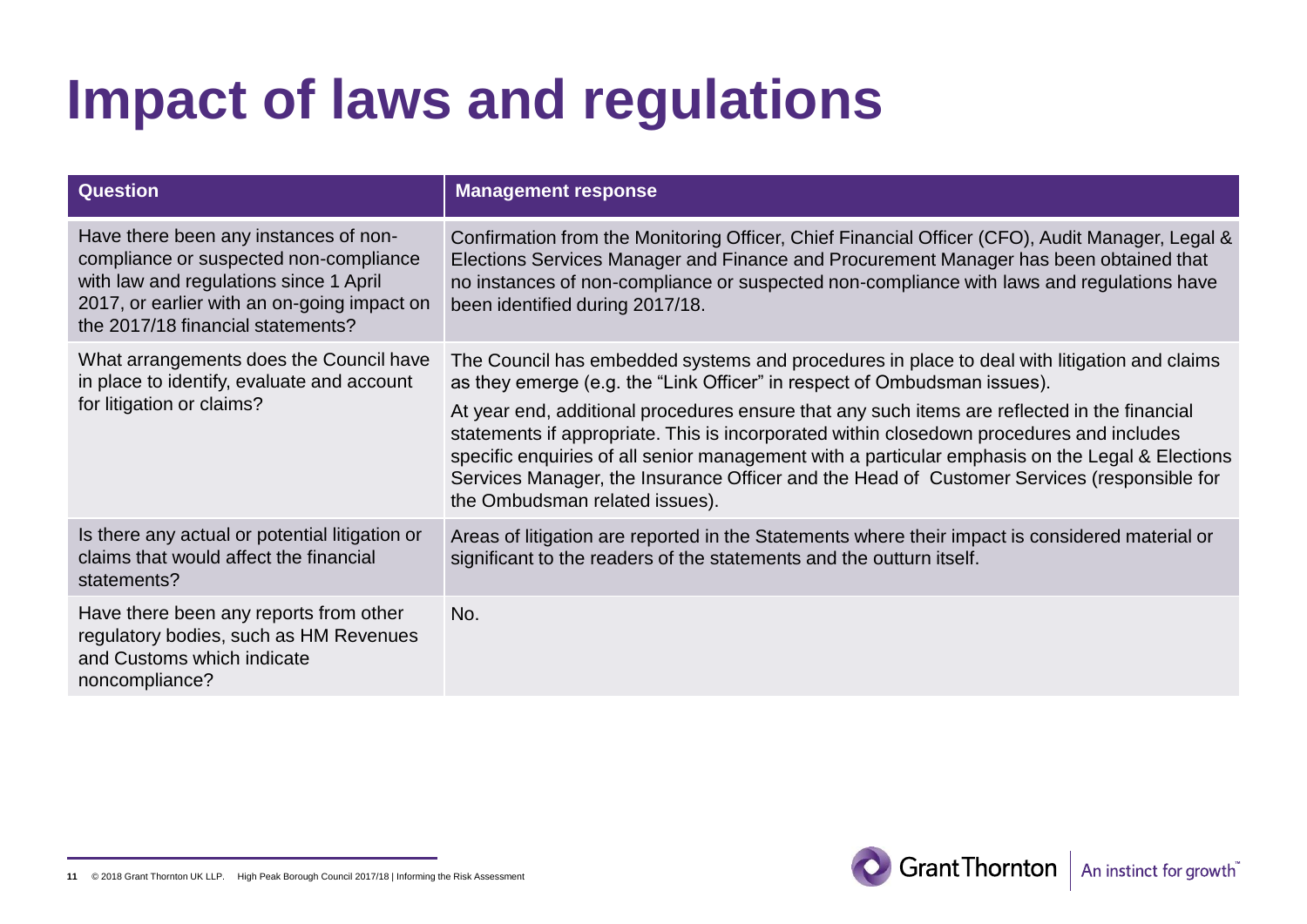# **Impact of laws and regulations**

| <b>Question</b>                                                                                                                                                                                               | <b>Management response</b>                                                                                                                                                                                                                                                                                                                                                                                                                                                                                                                                                                             |
|---------------------------------------------------------------------------------------------------------------------------------------------------------------------------------------------------------------|--------------------------------------------------------------------------------------------------------------------------------------------------------------------------------------------------------------------------------------------------------------------------------------------------------------------------------------------------------------------------------------------------------------------------------------------------------------------------------------------------------------------------------------------------------------------------------------------------------|
| Have there been any instances of non-<br>compliance or suspected non-compliance<br>with law and regulations since 1 April<br>2017, or earlier with an on-going impact on<br>the 2017/18 financial statements? | Confirmation from the Monitoring Officer, Chief Financial Officer (CFO), Audit Manager, Legal &<br>Elections Services Manager and Finance and Procurement Manager has been obtained that<br>no instances of non-compliance or suspected non-compliance with laws and regulations have<br>been identified during 2017/18.                                                                                                                                                                                                                                                                               |
| What arrangements does the Council have<br>in place to identify, evaluate and account<br>for litigation or claims?                                                                                            | The Council has embedded systems and procedures in place to deal with litigation and claims<br>as they emerge (e.g. the "Link Officer" in respect of Ombudsman issues).<br>At year end, additional procedures ensure that any such items are reflected in the financial<br>statements if appropriate. This is incorporated within closedown procedures and includes<br>specific enquiries of all senior management with a particular emphasis on the Legal & Elections<br>Services Manager, the Insurance Officer and the Head of Customer Services (responsible for<br>the Ombudsman related issues). |
| Is there any actual or potential litigation or<br>claims that would affect the financial<br>statements?                                                                                                       | Areas of litigation are reported in the Statements where their impact is considered material or<br>significant to the readers of the statements and the outturn itself.                                                                                                                                                                                                                                                                                                                                                                                                                                |
| Have there been any reports from other<br>regulatory bodies, such as HM Revenues<br>and Customs which indicate<br>noncompliance?                                                                              | No.                                                                                                                                                                                                                                                                                                                                                                                                                                                                                                                                                                                                    |



**<sup>11</sup>** © 2018 Grant Thornton UK LLP. High Peak Borough Council 2017/18 | Informing the Risk Assessment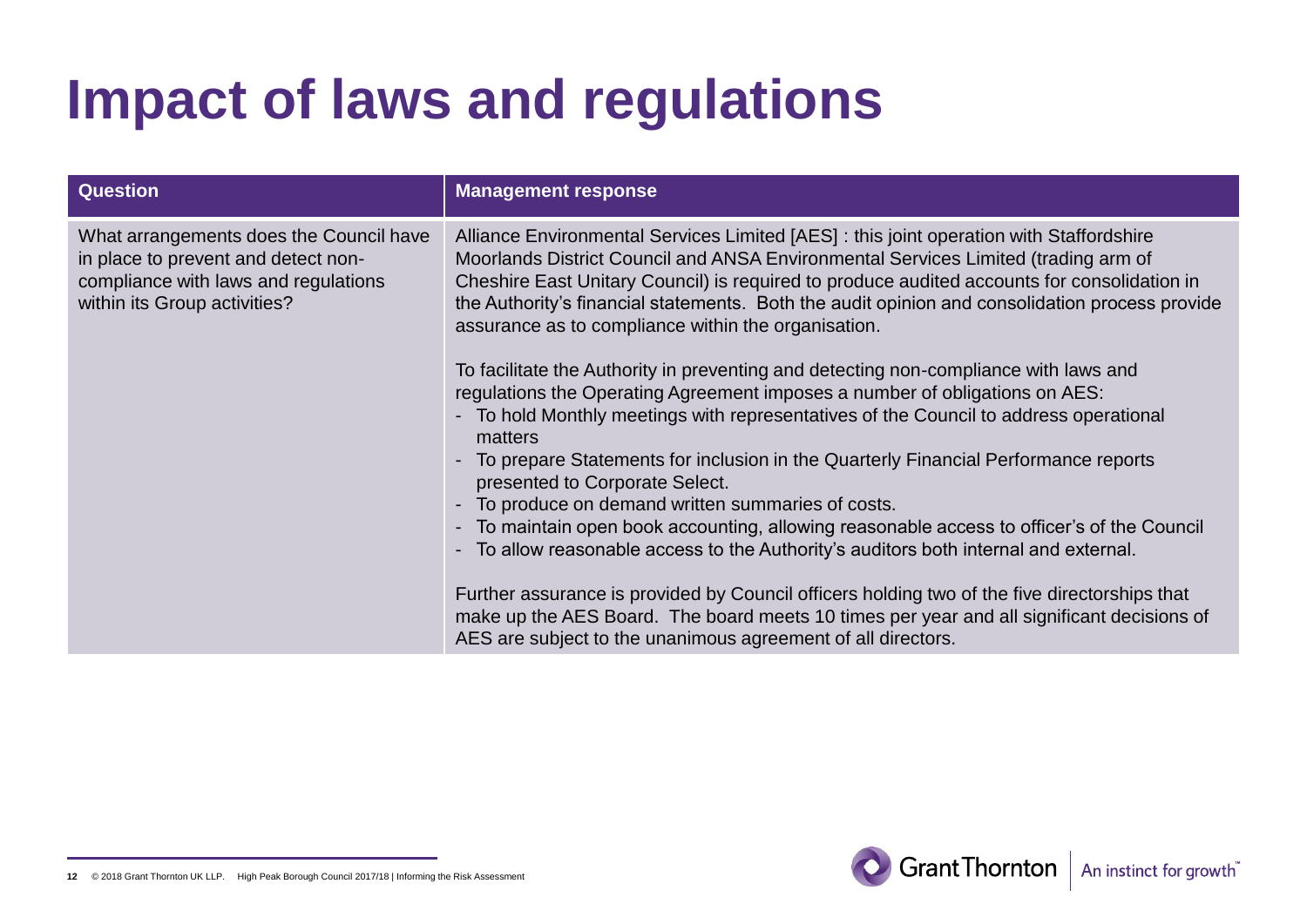# **Impact of laws and regulations**

| <b>Question</b>                                                                                                                                        | <b>Management response</b>                                                                                                                                                                                                                                                                                                                                                                                                                                                                                                                                                                                                                                                                                                                                                                                                                                                                                                                                                                     |
|--------------------------------------------------------------------------------------------------------------------------------------------------------|------------------------------------------------------------------------------------------------------------------------------------------------------------------------------------------------------------------------------------------------------------------------------------------------------------------------------------------------------------------------------------------------------------------------------------------------------------------------------------------------------------------------------------------------------------------------------------------------------------------------------------------------------------------------------------------------------------------------------------------------------------------------------------------------------------------------------------------------------------------------------------------------------------------------------------------------------------------------------------------------|
| What arrangements does the Council have<br>in place to prevent and detect non-<br>compliance with laws and regulations<br>within its Group activities? | Alliance Environmental Services Limited [AES] : this joint operation with Staffordshire<br>Moorlands District Council and ANSA Environmental Services Limited (trading arm of<br>Cheshire East Unitary Council) is required to produce audited accounts for consolidation in<br>the Authority's financial statements. Both the audit opinion and consolidation process provide<br>assurance as to compliance within the organisation.<br>To facilitate the Authority in preventing and detecting non-compliance with laws and<br>regulations the Operating Agreement imposes a number of obligations on AES:<br>- To hold Monthly meetings with representatives of the Council to address operational<br>matters<br>- To prepare Statements for inclusion in the Quarterly Financial Performance reports<br>presented to Corporate Select.<br>- To produce on demand written summaries of costs.<br>- To maintain open book accounting, allowing reasonable access to officer's of the Council |
|                                                                                                                                                        | - To allow reasonable access to the Authority's auditors both internal and external.<br>Further assurance is provided by Council officers holding two of the five directorships that<br>make up the AES Board. The board meets 10 times per year and all significant decisions of                                                                                                                                                                                                                                                                                                                                                                                                                                                                                                                                                                                                                                                                                                              |
|                                                                                                                                                        | AES are subject to the unanimous agreement of all directors.                                                                                                                                                                                                                                                                                                                                                                                                                                                                                                                                                                                                                                                                                                                                                                                                                                                                                                                                   |

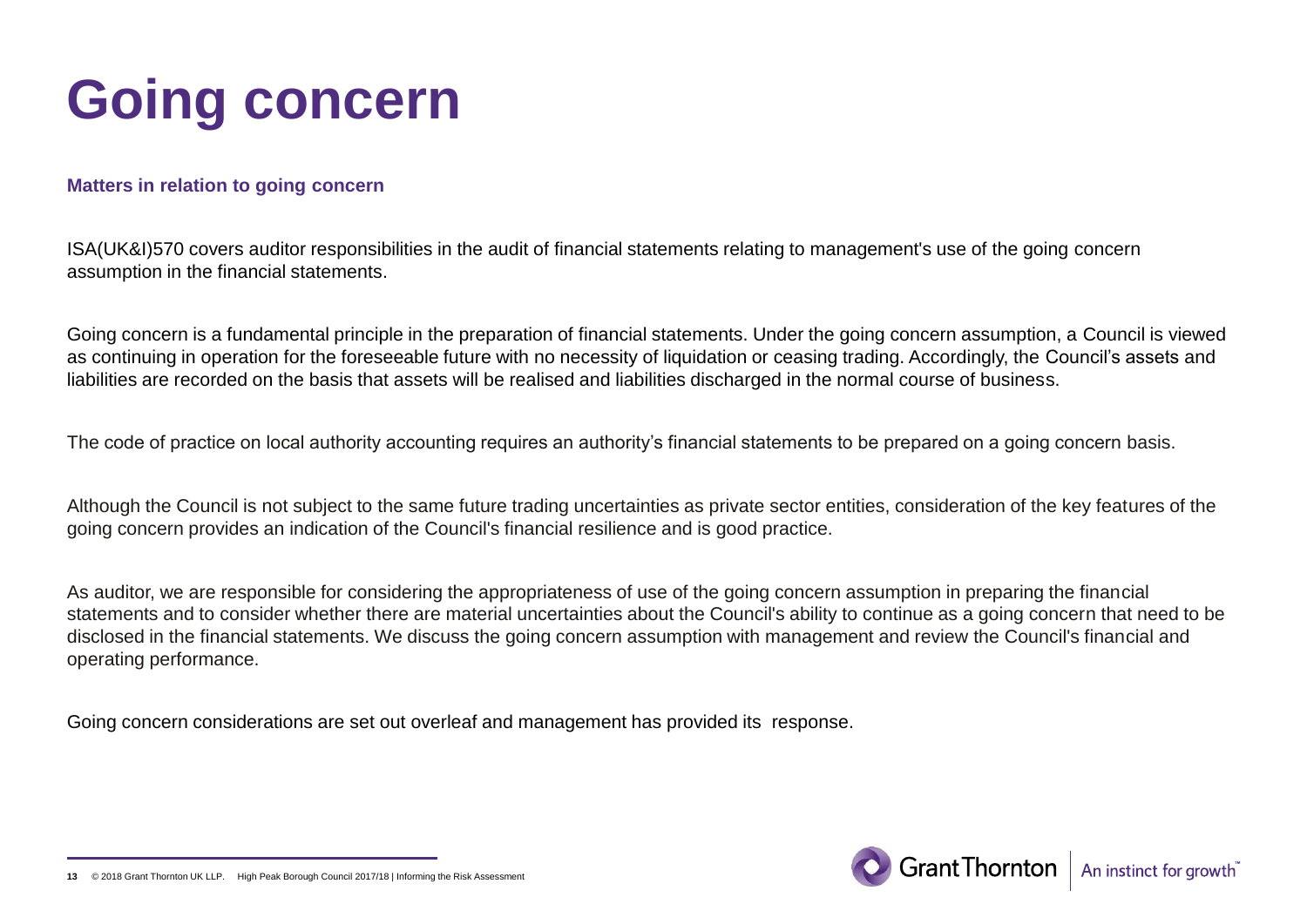# **Going concern**

#### **Matters in relation to going concern**

ISA(UK&I)570 covers auditor responsibilities in the audit of financial statements relating to management's use of the going concern assumption in the financial statements.

Going concern is a fundamental principle in the preparation of financial statements. Under the going concern assumption, a Council is viewed as continuing in operation for the foreseeable future with no necessity of liquidation or ceasing trading. Accordingly, the Council's assets and liabilities are recorded on the basis that assets will be realised and liabilities discharged in the normal course of business.

The code of practice on local authority accounting requires an authority's financial statements to be prepared on a going concern basis.

Although the Council is not subject to the same future trading uncertainties as private sector entities, consideration of the key features of the going concern provides an indication of the Council's financial resilience and is good practice.

As auditor, we are responsible for considering the appropriateness of use of the going concern assumption in preparing the financial statements and to consider whether there are material uncertainties about the Council's ability to continue as a going concern that need to be disclosed in the financial statements. We discuss the going concern assumption with management and review the Council's financial and operating performance.

Going concern considerations are set out overleaf and management has provided its response.



<sup>© 2018</sup> Grant Thornton UK LLP. High Peak Borough Council 2017/18 | Informing the Risk Assessmen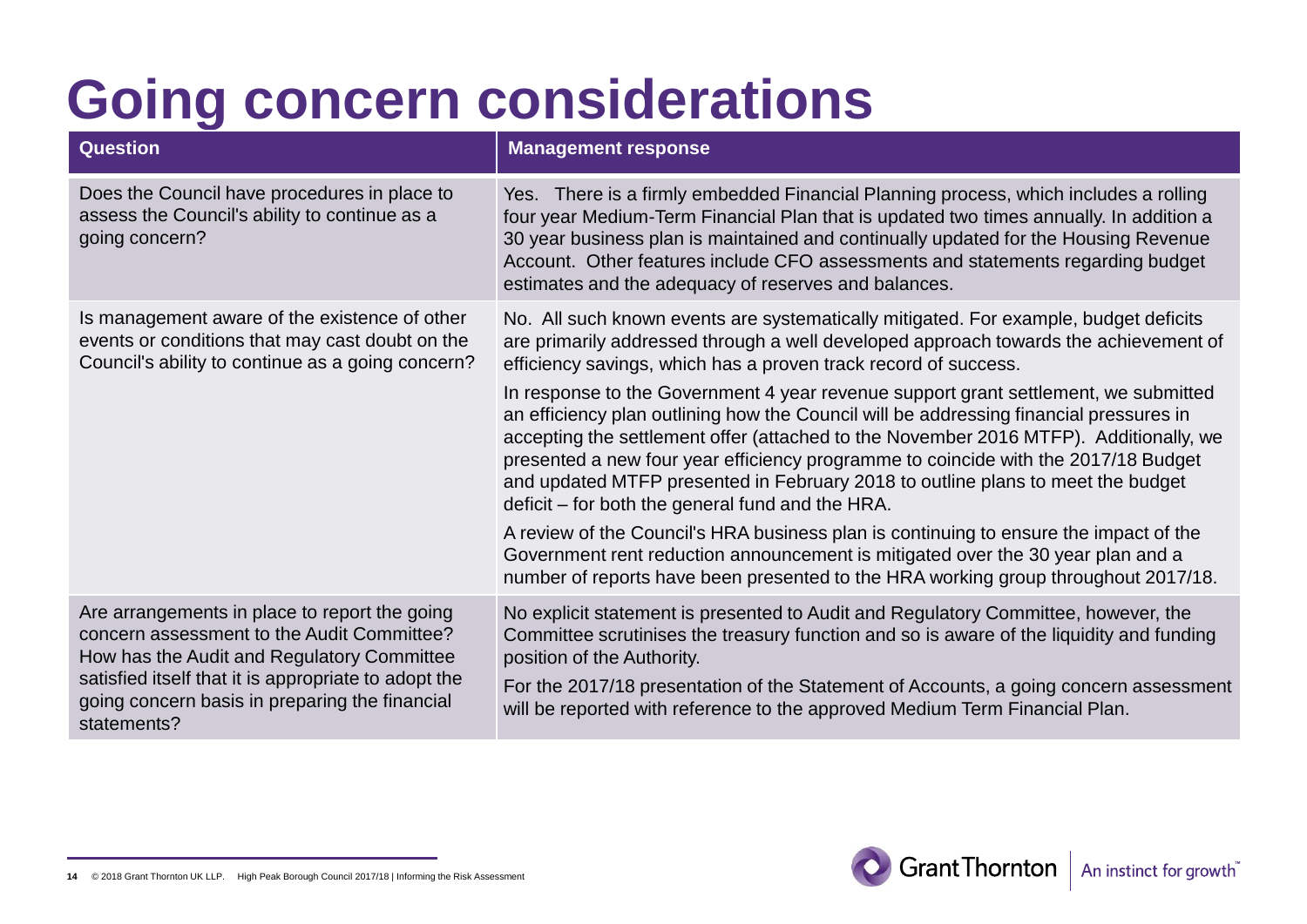| <b>Question</b>                                                                                                                                                                                                                                                    | <b>Management response</b>                                                                                                                                                                                                                                                                                                                                                                                                                                                                                                                                                                                                                                                                                                                                                                                                                                                                                                                                                                                               |
|--------------------------------------------------------------------------------------------------------------------------------------------------------------------------------------------------------------------------------------------------------------------|--------------------------------------------------------------------------------------------------------------------------------------------------------------------------------------------------------------------------------------------------------------------------------------------------------------------------------------------------------------------------------------------------------------------------------------------------------------------------------------------------------------------------------------------------------------------------------------------------------------------------------------------------------------------------------------------------------------------------------------------------------------------------------------------------------------------------------------------------------------------------------------------------------------------------------------------------------------------------------------------------------------------------|
| Does the Council have procedures in place to<br>assess the Council's ability to continue as a<br>going concern?                                                                                                                                                    | Yes. There is a firmly embedded Financial Planning process, which includes a rolling<br>four year Medium-Term Financial Plan that is updated two times annually. In addition a<br>30 year business plan is maintained and continually updated for the Housing Revenue<br>Account. Other features include CFO assessments and statements regarding budget<br>estimates and the adequacy of reserves and balances.                                                                                                                                                                                                                                                                                                                                                                                                                                                                                                                                                                                                         |
| Is management aware of the existence of other<br>events or conditions that may cast doubt on the<br>Council's ability to continue as a going concern?                                                                                                              | No. All such known events are systematically mitigated. For example, budget deficits<br>are primarily addressed through a well developed approach towards the achievement of<br>efficiency savings, which has a proven track record of success.<br>In response to the Government 4 year revenue support grant settlement, we submitted<br>an efficiency plan outlining how the Council will be addressing financial pressures in<br>accepting the settlement offer (attached to the November 2016 MTFP). Additionally, we<br>presented a new four year efficiency programme to coincide with the 2017/18 Budget<br>and updated MTFP presented in February 2018 to outline plans to meet the budget<br>deficit – for both the general fund and the HRA.<br>A review of the Council's HRA business plan is continuing to ensure the impact of the<br>Government rent reduction announcement is mitigated over the 30 year plan and a<br>number of reports have been presented to the HRA working group throughout 2017/18. |
| Are arrangements in place to report the going<br>concern assessment to the Audit Committee?<br>How has the Audit and Regulatory Committee<br>satisfied itself that it is appropriate to adopt the<br>going concern basis in preparing the financial<br>statements? | No explicit statement is presented to Audit and Regulatory Committee, however, the<br>Committee scrutinises the treasury function and so is aware of the liquidity and funding<br>position of the Authority.<br>For the 2017/18 presentation of the Statement of Accounts, a going concern assessment<br>will be reported with reference to the approved Medium Term Financial Plan.                                                                                                                                                                                                                                                                                                                                                                                                                                                                                                                                                                                                                                     |

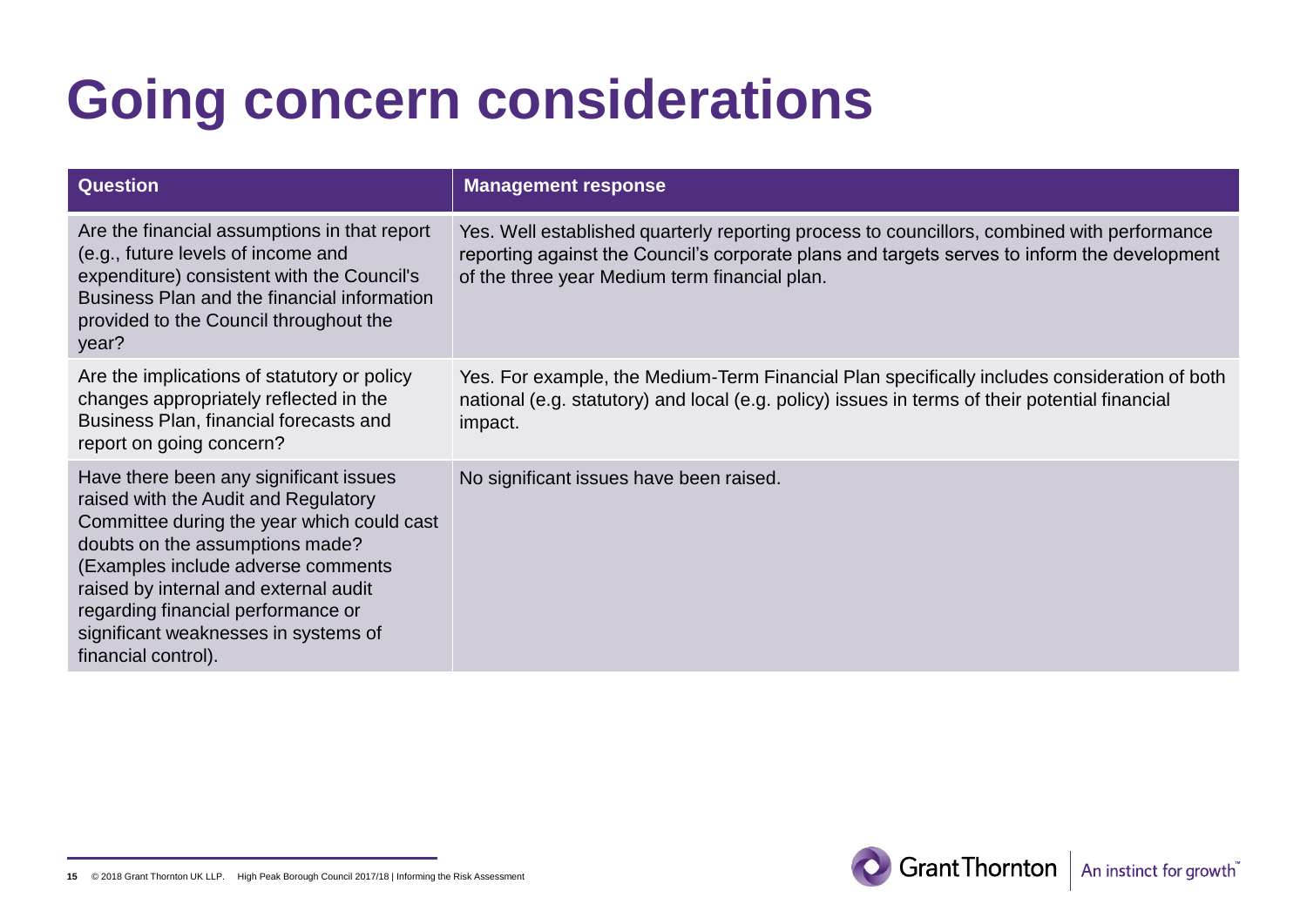| <b>Question</b>                                                                                                                                                                                                                                                                                                                                     | <b>Management response</b>                                                                                                                                                                                                                   |
|-----------------------------------------------------------------------------------------------------------------------------------------------------------------------------------------------------------------------------------------------------------------------------------------------------------------------------------------------------|----------------------------------------------------------------------------------------------------------------------------------------------------------------------------------------------------------------------------------------------|
| Are the financial assumptions in that report<br>(e.g., future levels of income and<br>expenditure) consistent with the Council's<br>Business Plan and the financial information<br>provided to the Council throughout the<br>year?                                                                                                                  | Yes. Well established quarterly reporting process to councillors, combined with performance<br>reporting against the Council's corporate plans and targets serves to inform the development<br>of the three year Medium term financial plan. |
| Are the implications of statutory or policy<br>changes appropriately reflected in the<br>Business Plan, financial forecasts and<br>report on going concern?                                                                                                                                                                                         | Yes. For example, the Medium-Term Financial Plan specifically includes consideration of both<br>national (e.g. statutory) and local (e.g. policy) issues in terms of their potential financial<br>impact.                                    |
| Have there been any significant issues<br>raised with the Audit and Regulatory<br>Committee during the year which could cast<br>doubts on the assumptions made?<br>(Examples include adverse comments<br>raised by internal and external audit<br>regarding financial performance or<br>significant weaknesses in systems of<br>financial control). | No significant issues have been raised.                                                                                                                                                                                                      |



**<sup>15</sup>** © 2018 Grant Thornton UK LLP. High Peak Borough Council 2017/18 | Informing the Risk Assessment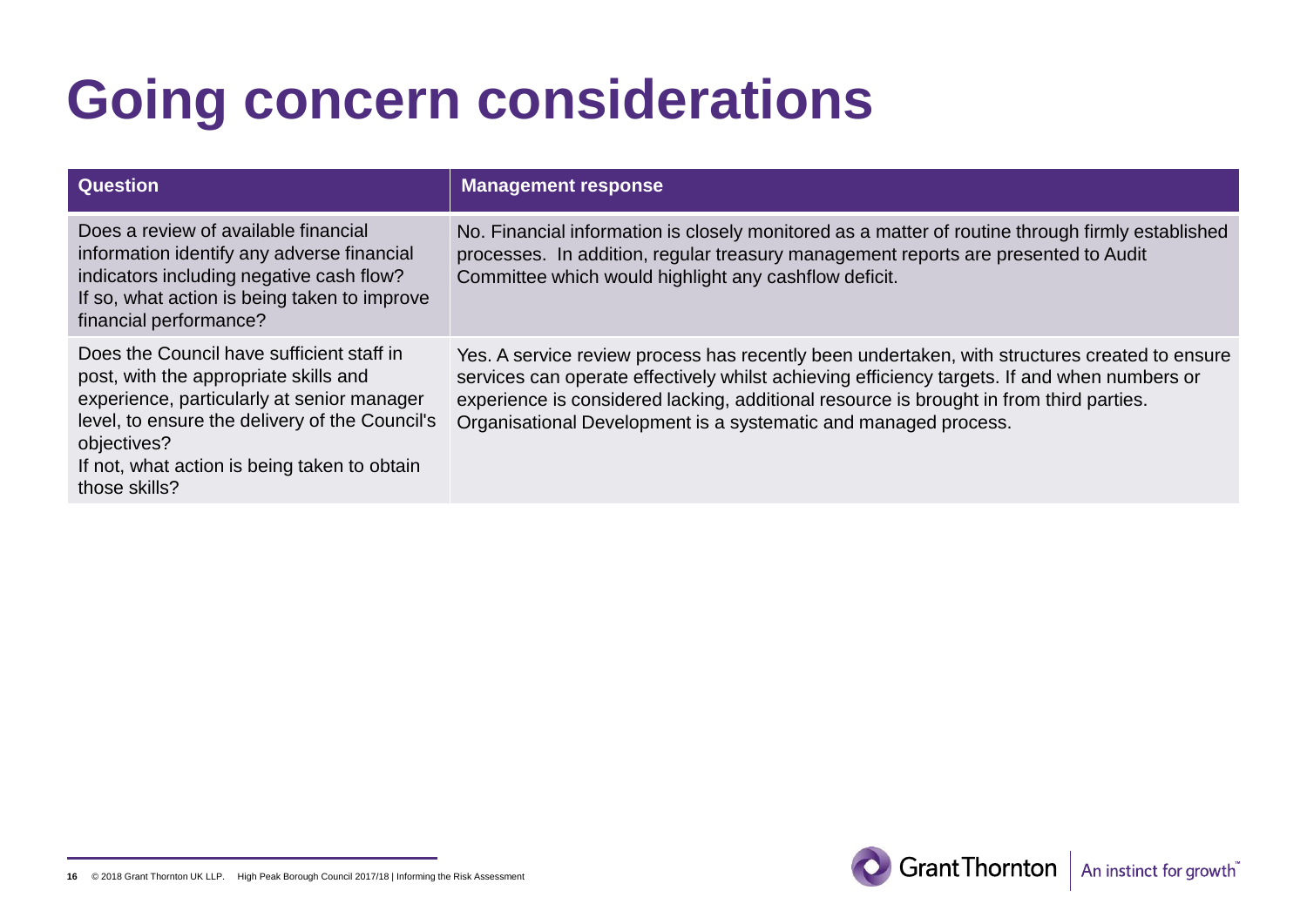| <b>Question</b>                                                                                                                                                                                                                                                    | <b>Management response</b>                                                                                                                                                                                                                                                                                                                                  |
|--------------------------------------------------------------------------------------------------------------------------------------------------------------------------------------------------------------------------------------------------------------------|-------------------------------------------------------------------------------------------------------------------------------------------------------------------------------------------------------------------------------------------------------------------------------------------------------------------------------------------------------------|
| Does a review of available financial<br>information identify any adverse financial<br>indicators including negative cash flow?<br>If so, what action is being taken to improve<br>financial performance?                                                           | No. Financial information is closely monitored as a matter of routine through firmly established<br>processes. In addition, regular treasury management reports are presented to Audit<br>Committee which would highlight any cashflow deficit.                                                                                                             |
| Does the Council have sufficient staff in<br>post, with the appropriate skills and<br>experience, particularly at senior manager<br>level, to ensure the delivery of the Council's<br>objectives?<br>If not, what action is being taken to obtain<br>those skills? | Yes. A service review process has recently been undertaken, with structures created to ensure<br>services can operate effectively whilst achieving efficiency targets. If and when numbers or<br>experience is considered lacking, additional resource is brought in from third parties.<br>Organisational Development is a systematic and managed process. |

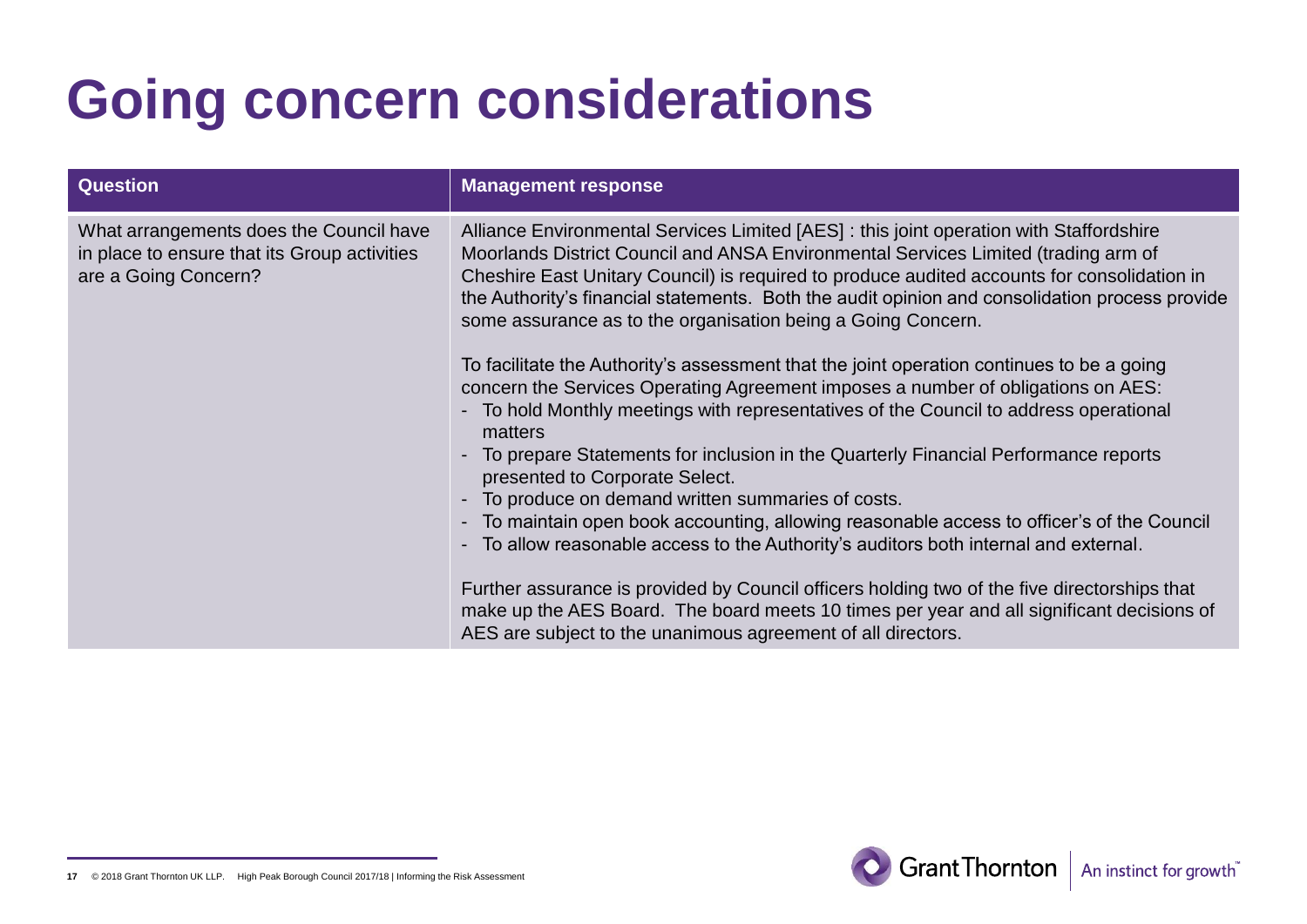| <b>Question</b>                                                                                                 | <b>Management response</b>                                                                                                                                                                                                                                                                                                                                                                                                                     |
|-----------------------------------------------------------------------------------------------------------------|------------------------------------------------------------------------------------------------------------------------------------------------------------------------------------------------------------------------------------------------------------------------------------------------------------------------------------------------------------------------------------------------------------------------------------------------|
| What arrangements does the Council have<br>in place to ensure that its Group activities<br>are a Going Concern? | Alliance Environmental Services Limited [AES] : this joint operation with Staffordshire<br>Moorlands District Council and ANSA Environmental Services Limited (trading arm of<br>Cheshire East Unitary Council) is required to produce audited accounts for consolidation in<br>the Authority's financial statements. Both the audit opinion and consolidation process provide<br>some assurance as to the organisation being a Going Concern. |
|                                                                                                                 | To facilitate the Authority's assessment that the joint operation continues to be a going<br>concern the Services Operating Agreement imposes a number of obligations on AES:<br>- To hold Monthly meetings with representatives of the Council to address operational<br>matters                                                                                                                                                              |
|                                                                                                                 | - To prepare Statements for inclusion in the Quarterly Financial Performance reports<br>presented to Corporate Select.<br>To produce on demand written summaries of costs.                                                                                                                                                                                                                                                                     |
|                                                                                                                 | To maintain open book accounting, allowing reasonable access to officer's of the Council<br>$\blacksquare$<br>To allow reasonable access to the Authority's auditors both internal and external.<br>$\overline{\phantom{0}}$                                                                                                                                                                                                                   |
|                                                                                                                 | Further assurance is provided by Council officers holding two of the five directorships that<br>make up the AES Board. The board meets 10 times per year and all significant decisions of<br>AES are subject to the unanimous agreement of all directors.                                                                                                                                                                                      |



**<sup>17</sup>** © 2018 Grant Thornton UK LLP. High Peak Borough Council 2017/18 | Informing the Risk Assessment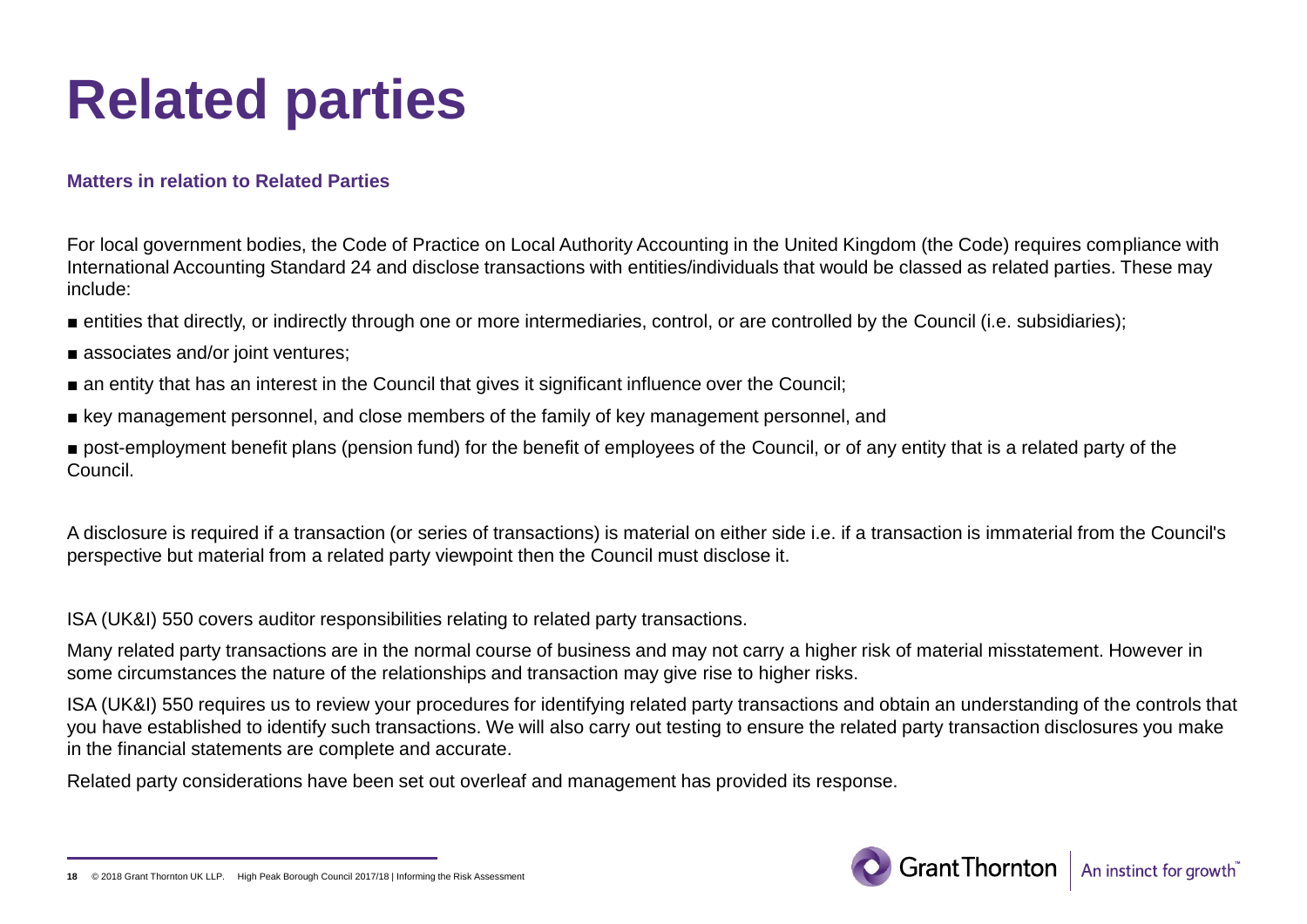## **Related parties**

#### **Matters in relation to Related Parties**

For local government bodies, the Code of Practice on Local Authority Accounting in the United Kingdom (the Code) requires compliance with International Accounting Standard 24 and disclose transactions with entities/individuals that would be classed as related parties. These may include:

- entities that directly, or indirectly through one or more intermediaries, control, or are controlled by the Council (i.e. subsidiaries);
- associates and/or joint ventures;
- an entity that has an interest in the Council that gives it significant influence over the Council;
- key management personnel, and close members of the family of key management personnel, and
- post-employment benefit plans (pension fund) for the benefit of employees of the Council, or of any entity that is a related party of the Council.

A disclosure is required if a transaction (or series of transactions) is material on either side i.e. if a transaction is immaterial from the Council's perspective but material from a related party viewpoint then the Council must disclose it.

ISA (UK&I) 550 covers auditor responsibilities relating to related party transactions.

Many related party transactions are in the normal course of business and may not carry a higher risk of material misstatement. However in some circumstances the nature of the relationships and transaction may give rise to higher risks.

ISA (UK&I) 550 requires us to review your procedures for identifying related party transactions and obtain an understanding of the controls that you have established to identify such transactions. We will also carry out testing to ensure the related party transaction disclosures you make in the financial statements are complete and accurate.

Related party considerations have been set out overleaf and management has provided its response.

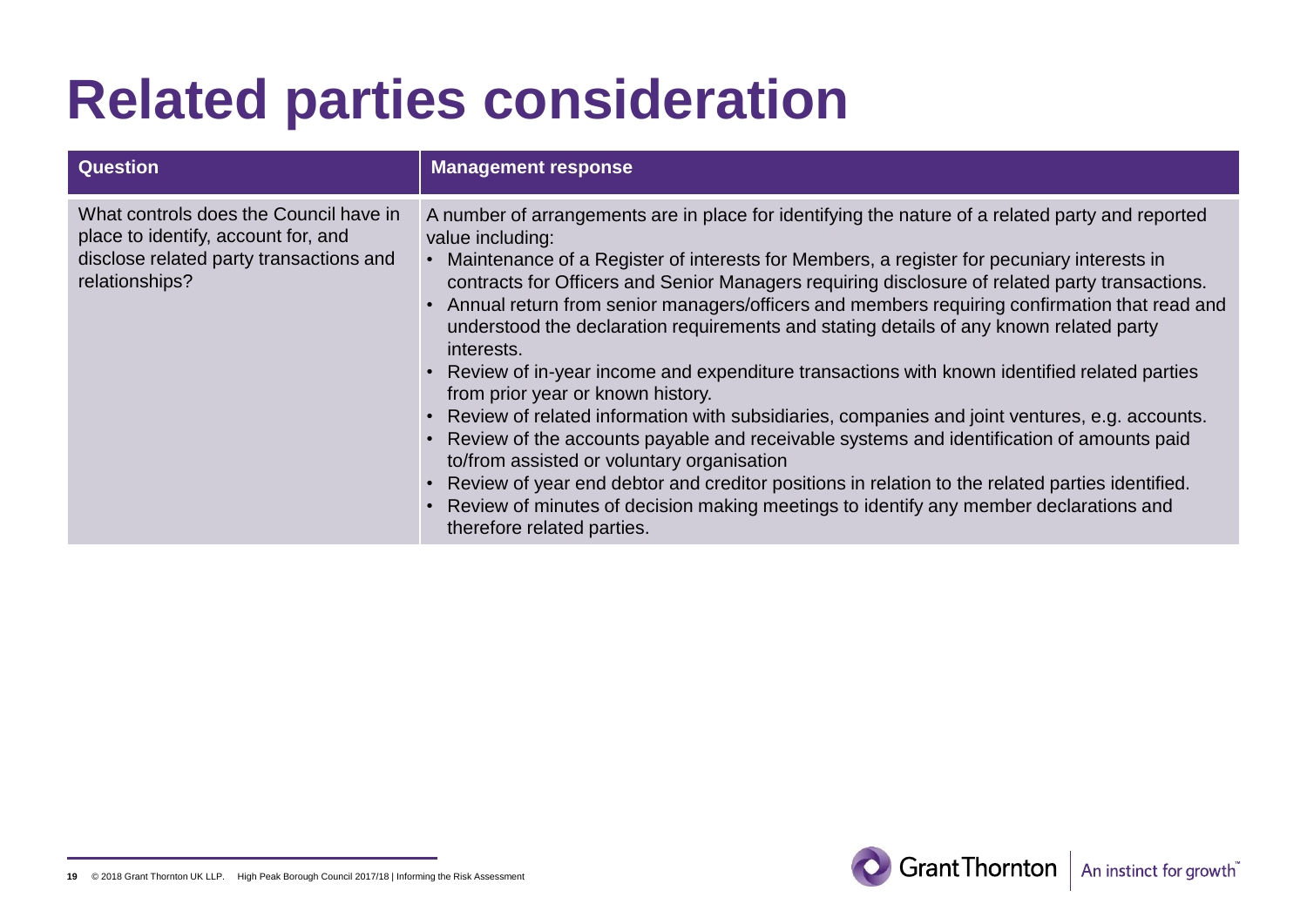## **Related parties consideration**

| <b>Question</b>                                                                                                                            | <b>Management response</b>                                                                                                                                                                                                                                                                                                                                                                                                                                                                                                                                                                                                                                                                                                                                                                                                                                                                                                                                                                                                                                                                                                                   |
|--------------------------------------------------------------------------------------------------------------------------------------------|----------------------------------------------------------------------------------------------------------------------------------------------------------------------------------------------------------------------------------------------------------------------------------------------------------------------------------------------------------------------------------------------------------------------------------------------------------------------------------------------------------------------------------------------------------------------------------------------------------------------------------------------------------------------------------------------------------------------------------------------------------------------------------------------------------------------------------------------------------------------------------------------------------------------------------------------------------------------------------------------------------------------------------------------------------------------------------------------------------------------------------------------|
| What controls does the Council have in<br>place to identify, account for, and<br>disclose related party transactions and<br>relationships? | A number of arrangements are in place for identifying the nature of a related party and reported<br>value including:<br>Maintenance of a Register of interests for Members, a register for pecuniary interests in<br>contracts for Officers and Senior Managers requiring disclosure of related party transactions.<br>Annual return from senior managers/officers and members requiring confirmation that read and<br>understood the declaration requirements and stating details of any known related party<br>interests.<br>• Review of in-year income and expenditure transactions with known identified related parties<br>from prior year or known history.<br>• Review of related information with subsidiaries, companies and joint ventures, e.g. accounts.<br>• Review of the accounts payable and receivable systems and identification of amounts paid<br>to/from assisted or voluntary organisation<br>• Review of year end debtor and creditor positions in relation to the related parties identified.<br>Review of minutes of decision making meetings to identify any member declarations and<br>therefore related parties. |



**<sup>19</sup>** © 2018 Grant Thornton UK LLP. High Peak Borough Council 2017/18 | Informing the Risk Assessment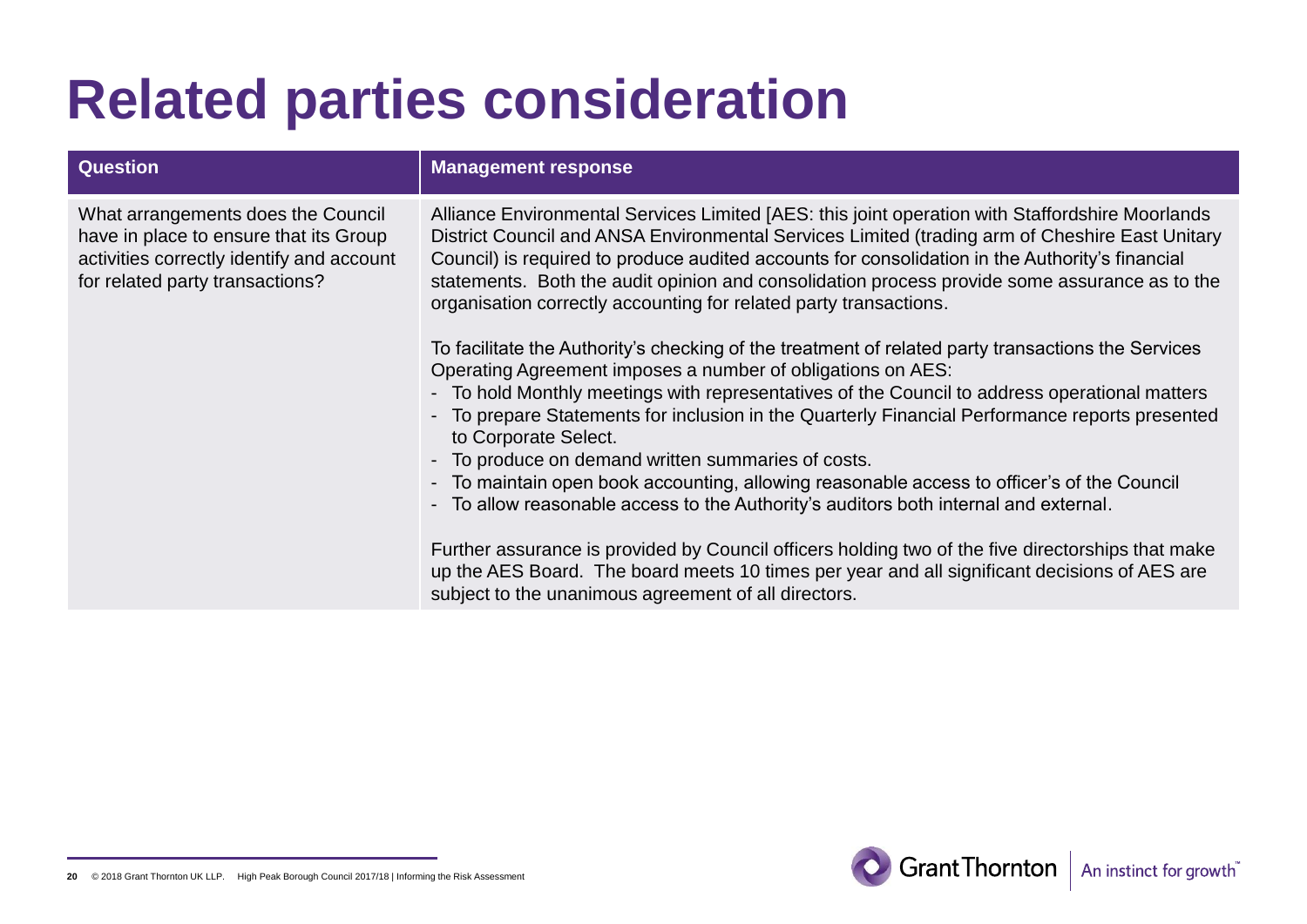## **Related parties consideration**

| <b>Question</b>                                                                                                                                              | <b>Management response</b>                                                                                                                                                                                                                                                                                                                                                                                                                                                                                                                                                                                                               |
|--------------------------------------------------------------------------------------------------------------------------------------------------------------|------------------------------------------------------------------------------------------------------------------------------------------------------------------------------------------------------------------------------------------------------------------------------------------------------------------------------------------------------------------------------------------------------------------------------------------------------------------------------------------------------------------------------------------------------------------------------------------------------------------------------------------|
| What arrangements does the Council<br>have in place to ensure that its Group<br>activities correctly identify and account<br>for related party transactions? | Alliance Environmental Services Limited [AES: this joint operation with Staffordshire Moorlands<br>District Council and ANSA Environmental Services Limited (trading arm of Cheshire East Unitary<br>Council) is required to produce audited accounts for consolidation in the Authority's financial<br>statements. Both the audit opinion and consolidation process provide some assurance as to the<br>organisation correctly accounting for related party transactions.                                                                                                                                                               |
|                                                                                                                                                              | To facilitate the Authority's checking of the treatment of related party transactions the Services<br>Operating Agreement imposes a number of obligations on AES:<br>- To hold Monthly meetings with representatives of the Council to address operational matters<br>- To prepare Statements for inclusion in the Quarterly Financial Performance reports presented<br>to Corporate Select.<br>- To produce on demand written summaries of costs.<br>- To maintain open book accounting, allowing reasonable access to officer's of the Council<br>- To allow reasonable access to the Authority's auditors both internal and external. |
|                                                                                                                                                              | Further assurance is provided by Council officers holding two of the five directorships that make<br>up the AES Board. The board meets 10 times per year and all significant decisions of AES are<br>subject to the unanimous agreement of all directors.                                                                                                                                                                                                                                                                                                                                                                                |



**<sup>20</sup>** © 2018 Grant Thornton UK LLP. High Peak Borough Council 2017/18 | Informing the Risk Assessment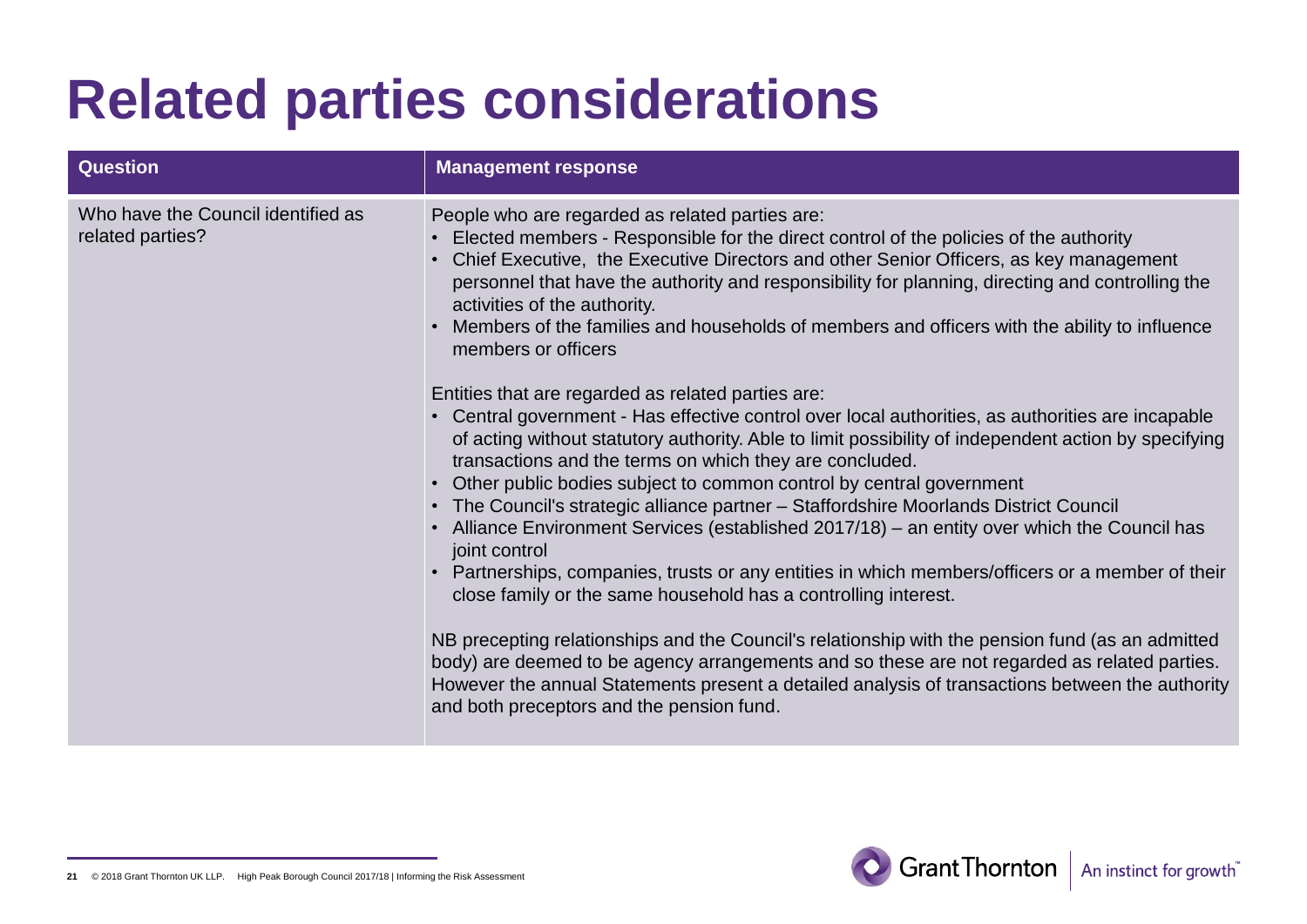## **Related parties considerations**

| <b>Question</b>                                        | <b>Management response</b>                                                                                                                                                                                                                                                                                                                                                                                                                                                                                                                                                                                                                                                                                                  |
|--------------------------------------------------------|-----------------------------------------------------------------------------------------------------------------------------------------------------------------------------------------------------------------------------------------------------------------------------------------------------------------------------------------------------------------------------------------------------------------------------------------------------------------------------------------------------------------------------------------------------------------------------------------------------------------------------------------------------------------------------------------------------------------------------|
| Who have the Council identified as<br>related parties? | People who are regarded as related parties are:<br>Elected members - Responsible for the direct control of the policies of the authority<br>Chief Executive, the Executive Directors and other Senior Officers, as key management<br>personnel that have the authority and responsibility for planning, directing and controlling the<br>activities of the authority.<br>Members of the families and households of members and officers with the ability to influence<br>members or officers<br>Entities that are regarded as related parties are:                                                                                                                                                                          |
|                                                        | • Central government - Has effective control over local authorities, as authorities are incapable<br>of acting without statutory authority. Able to limit possibility of independent action by specifying<br>transactions and the terms on which they are concluded.<br>Other public bodies subject to common control by central government<br>• The Council's strategic alliance partner - Staffordshire Moorlands District Council<br>• Alliance Environment Services (established 2017/18) - an entity over which the Council has<br>joint control<br>• Partnerships, companies, trusts or any entities in which members/officers or a member of their<br>close family or the same household has a controlling interest. |
|                                                        | NB precepting relationships and the Council's relationship with the pension fund (as an admitted<br>body) are deemed to be agency arrangements and so these are not regarded as related parties.<br>However the annual Statements present a detailed analysis of transactions between the authority<br>and both preceptors and the pension fund.                                                                                                                                                                                                                                                                                                                                                                            |



**<sup>21</sup>** © 2018 Grant Thornton UK LLP. High Peak Borough Council 2017/18 | Informing the Risk Assessment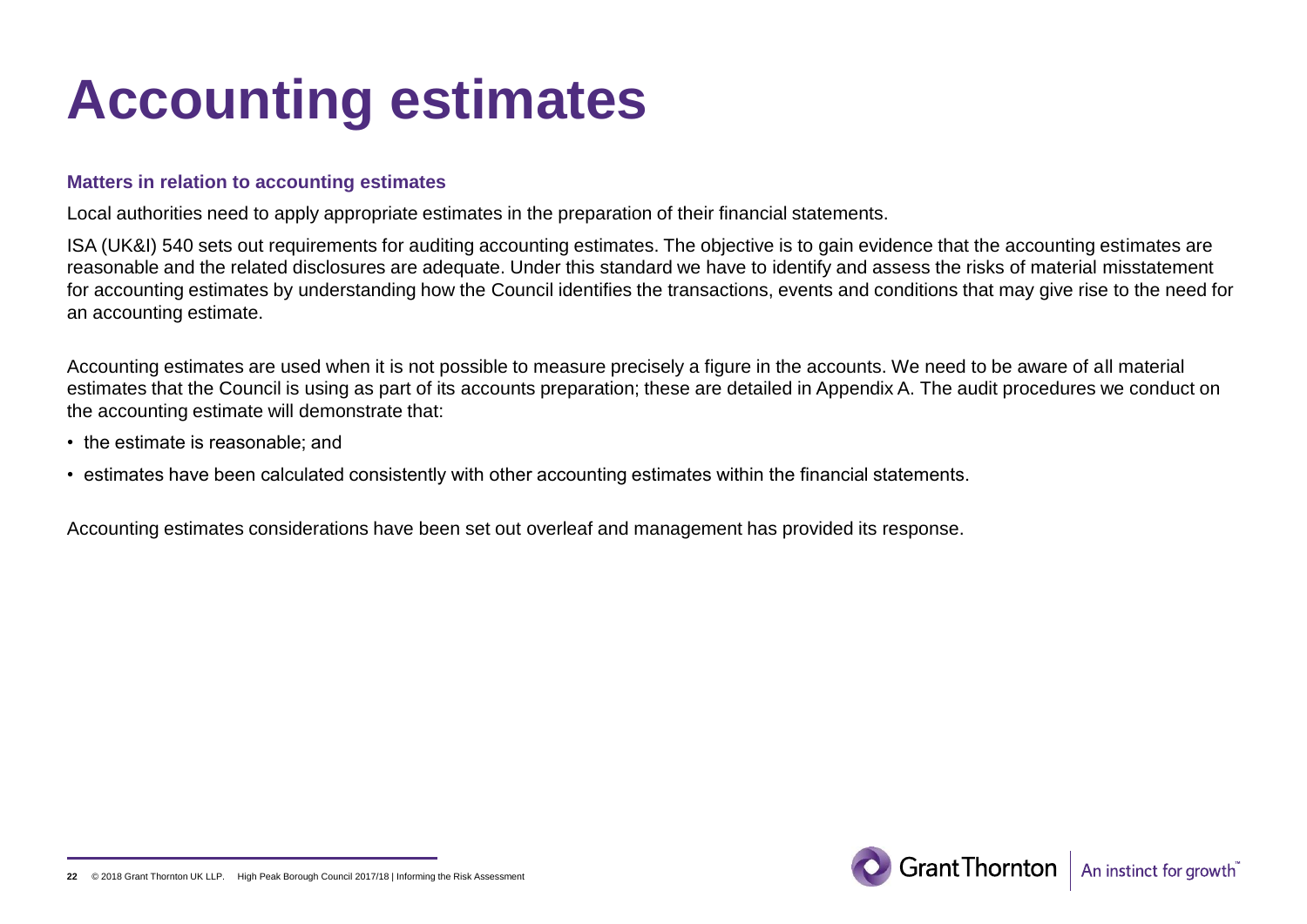## **Accounting estimates**

#### **Matters in relation to accounting estimates**

Local authorities need to apply appropriate estimates in the preparation of their financial statements.

ISA (UK&I) 540 sets out requirements for auditing accounting estimates. The objective is to gain evidence that the accounting estimates are reasonable and the related disclosures are adequate. Under this standard we have to identify and assess the risks of material misstatement for accounting estimates by understanding how the Council identifies the transactions, events and conditions that may give rise to the need for an accounting estimate.

Accounting estimates are used when it is not possible to measure precisely a figure in the accounts. We need to be aware of all material estimates that the Council is using as part of its accounts preparation; these are detailed in Appendix A. The audit procedures we conduct on the accounting estimate will demonstrate that:

- the estimate is reasonable; and
- estimates have been calculated consistently with other accounting estimates within the financial statements.

Accounting estimates considerations have been set out overleaf and management has provided its response.

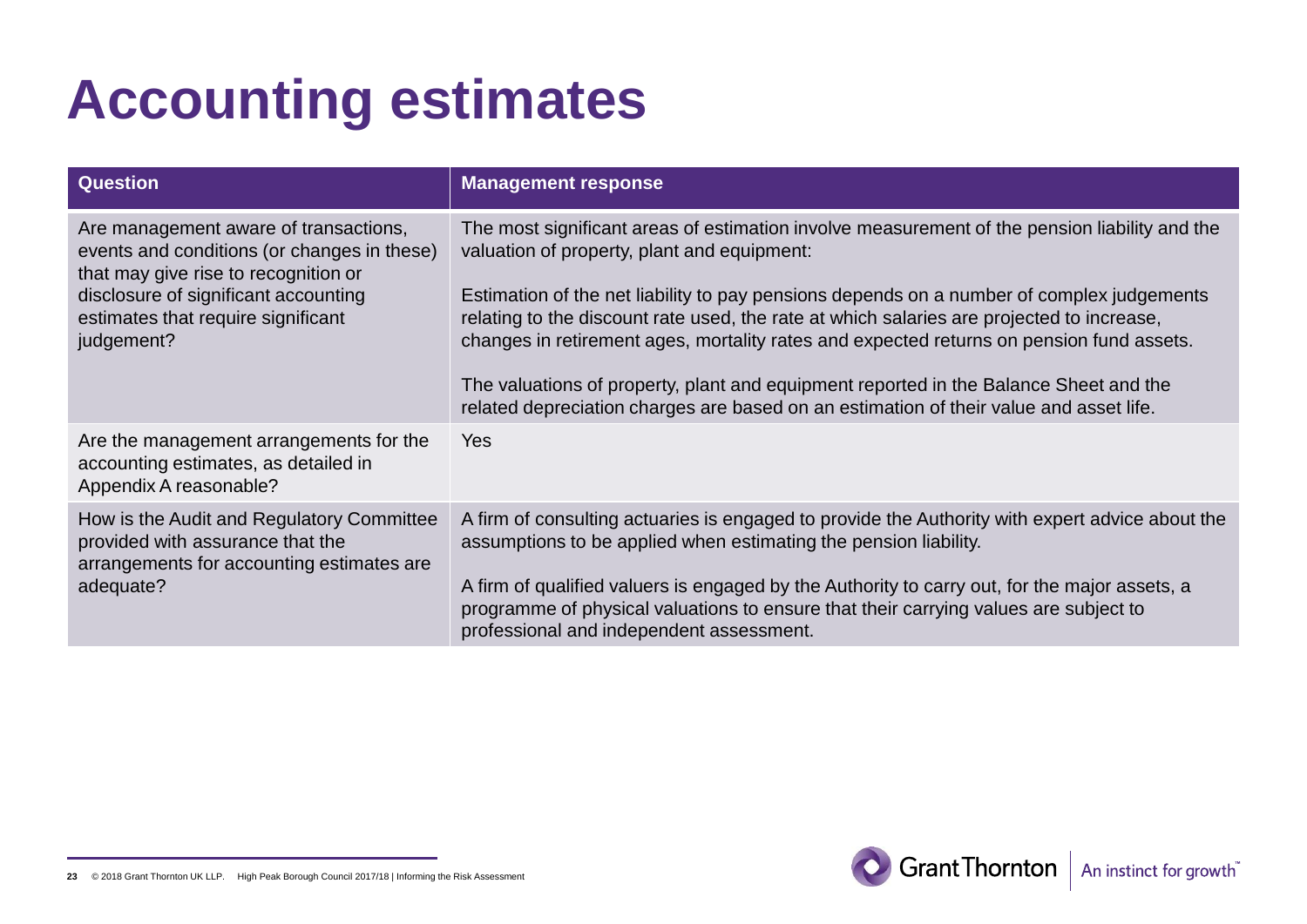# **Accounting estimates**

| <b>Question</b>                                                                                                              | <b>Management response</b>                                                                                                                                                                                                                                                         |
|------------------------------------------------------------------------------------------------------------------------------|------------------------------------------------------------------------------------------------------------------------------------------------------------------------------------------------------------------------------------------------------------------------------------|
| Are management aware of transactions,<br>events and conditions (or changes in these)<br>that may give rise to recognition or | The most significant areas of estimation involve measurement of the pension liability and the<br>valuation of property, plant and equipment:                                                                                                                                       |
| disclosure of significant accounting<br>estimates that require significant<br>judgement?                                     | Estimation of the net liability to pay pensions depends on a number of complex judgements<br>relating to the discount rate used, the rate at which salaries are projected to increase,<br>changes in retirement ages, mortality rates and expected returns on pension fund assets. |
|                                                                                                                              | The valuations of property, plant and equipment reported in the Balance Sheet and the<br>related depreciation charges are based on an estimation of their value and asset life.                                                                                                    |
| Are the management arrangements for the<br>accounting estimates, as detailed in<br>Appendix A reasonable?                    | <b>Yes</b>                                                                                                                                                                                                                                                                         |
| How is the Audit and Regulatory Committee<br>provided with assurance that the<br>arrangements for accounting estimates are   | A firm of consulting actuaries is engaged to provide the Authority with expert advice about the<br>assumptions to be applied when estimating the pension liability.                                                                                                                |
| adequate?                                                                                                                    | A firm of qualified valuers is engaged by the Authority to carry out, for the major assets, a<br>programme of physical valuations to ensure that their carrying values are subject to<br>professional and independent assessment.                                                  |



**<sup>23</sup>** © 2018 Grant Thornton UK LLP. High Peak Borough Council 2017/18 | Informing the Risk Assessment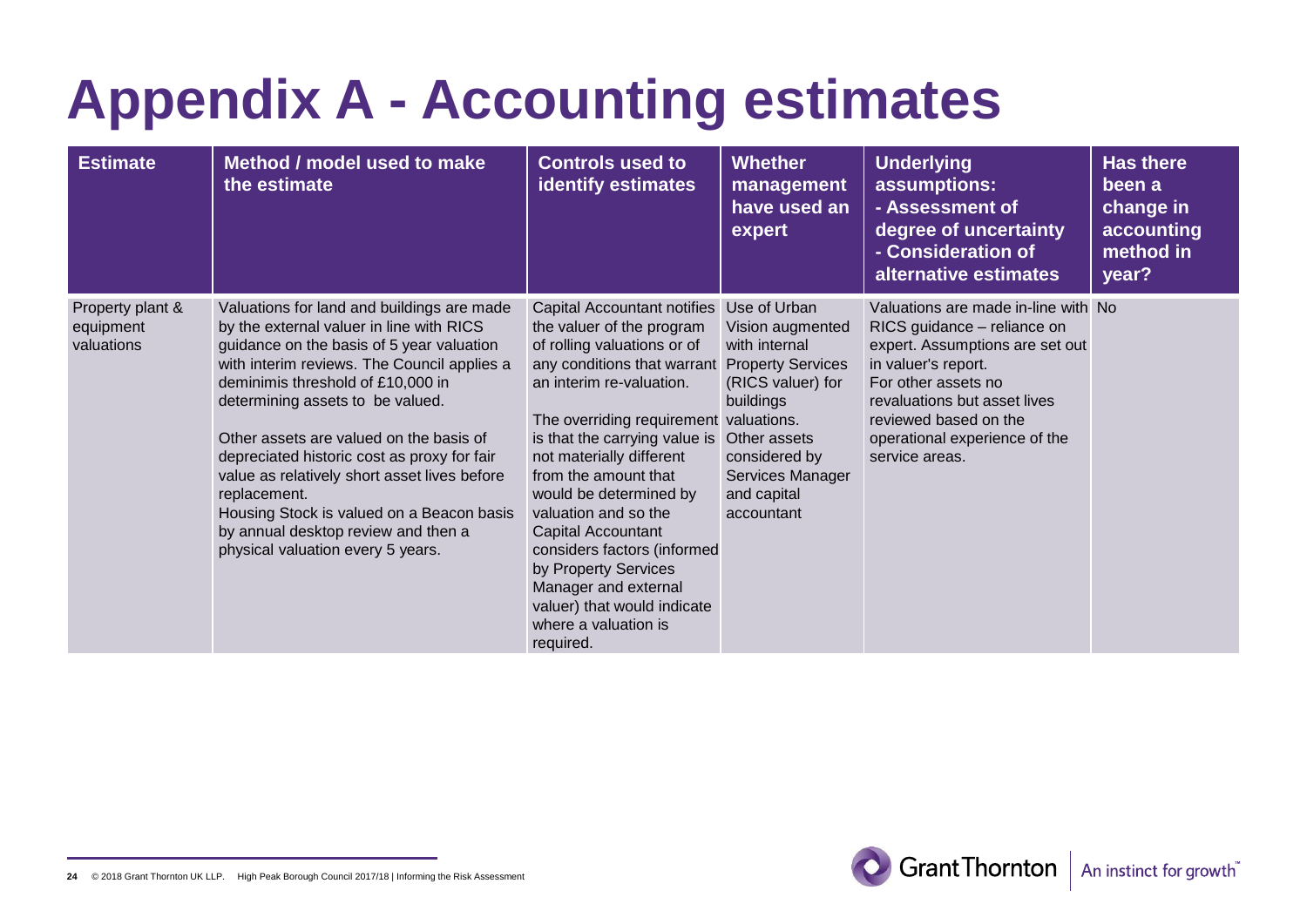# **Appendix A - Accounting estimates**

| <b>Estimate</b>                             | Method / model used to make<br>the estimate                                                                                                                                                                                                                                                                                                                                                                                                                                                                                                    | <b>Controls used to</b><br><b>identify estimates</b>                                                                                                                                                                                                                                                                                                                                                                                                                                                         | <b>Whether</b><br>management<br>have used an<br>expert                                                                                                                                            | <b>Underlying</b><br>assumptions:<br>- Assessment of<br>degree of uncertainty<br>- Consideration of<br>alternative estimates                                                                                                                                    | <b>Has there</b><br>been a<br>change in<br>accounting<br>method in<br>year? |
|---------------------------------------------|------------------------------------------------------------------------------------------------------------------------------------------------------------------------------------------------------------------------------------------------------------------------------------------------------------------------------------------------------------------------------------------------------------------------------------------------------------------------------------------------------------------------------------------------|--------------------------------------------------------------------------------------------------------------------------------------------------------------------------------------------------------------------------------------------------------------------------------------------------------------------------------------------------------------------------------------------------------------------------------------------------------------------------------------------------------------|---------------------------------------------------------------------------------------------------------------------------------------------------------------------------------------------------|-----------------------------------------------------------------------------------------------------------------------------------------------------------------------------------------------------------------------------------------------------------------|-----------------------------------------------------------------------------|
| Property plant &<br>equipment<br>valuations | Valuations for land and buildings are made<br>by the external valuer in line with RICS<br>guidance on the basis of 5 year valuation<br>with interim reviews. The Council applies a<br>deminimis threshold of £10,000 in<br>determining assets to be valued.<br>Other assets are valued on the basis of<br>depreciated historic cost as proxy for fair<br>value as relatively short asset lives before<br>replacement.<br>Housing Stock is valued on a Beacon basis<br>by annual desktop review and then a<br>physical valuation every 5 years. | Capital Accountant notifies<br>the valuer of the program<br>of rolling valuations or of<br>any conditions that warrant<br>an interim re-valuation.<br>The overriding requirement valuations.<br>is that the carrying value is<br>not materially different<br>from the amount that<br>would be determined by<br>valuation and so the<br>Capital Accountant<br>considers factors (informed<br>by Property Services<br>Manager and external<br>valuer) that would indicate<br>where a valuation is<br>required. | Use of Urban<br>Vision augmented<br>with internal<br><b>Property Services</b><br>(RICS valuer) for<br>buildings<br>Other assets<br>considered by<br>Services Manager<br>and capital<br>accountant | Valuations are made in-line with No<br>RICS guidance - reliance on<br>expert. Assumptions are set out<br>in valuer's report.<br>For other assets no<br>revaluations but asset lives<br>reviewed based on the<br>operational experience of the<br>service areas. |                                                                             |



**<sup>24</sup>** © 2018 Grant Thornton UK LLP. High Peak Borough Council 2017/18 | Informing the Risk Assessment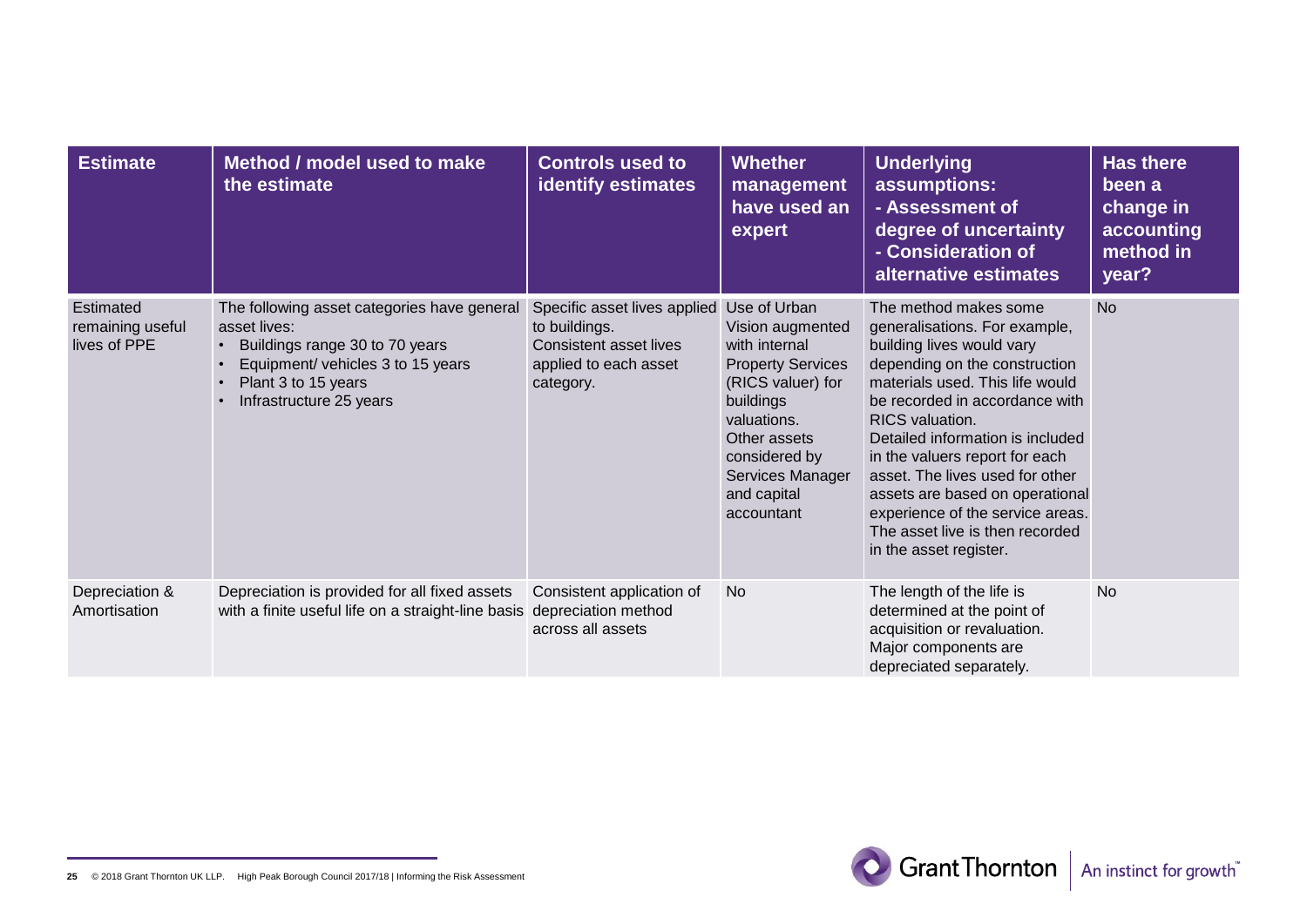| <b>Estimate</b>                               | Method / model used to make<br>the estimate                                                                                                                                          | <b>Controls used to</b><br><b>identify estimates</b>                                                                 | <b>Whether</b><br>management<br>have used an<br>expert                                                                                                                                                           | <b>Underlying</b><br>assumptions:<br>- Assessment of<br>degree of uncertainty<br>- Consideration of<br>alternative estimates                                                                                                                                                                                                                                                                                                                                     | <b>Has there</b><br>been a<br>change in<br>accounting<br>method in<br>year? |
|-----------------------------------------------|--------------------------------------------------------------------------------------------------------------------------------------------------------------------------------------|----------------------------------------------------------------------------------------------------------------------|------------------------------------------------------------------------------------------------------------------------------------------------------------------------------------------------------------------|------------------------------------------------------------------------------------------------------------------------------------------------------------------------------------------------------------------------------------------------------------------------------------------------------------------------------------------------------------------------------------------------------------------------------------------------------------------|-----------------------------------------------------------------------------|
| Estimated<br>remaining useful<br>lives of PPE | The following asset categories have general<br>asset lives:<br>Buildings range 30 to 70 years<br>Equipment/ vehicles 3 to 15 years<br>Plant 3 to 15 years<br>Infrastructure 25 years | Specific asset lives applied<br>to buildings.<br><b>Consistent asset lives</b><br>applied to each asset<br>category. | Use of Urban<br>Vision augmented<br>with internal<br><b>Property Services</b><br>(RICS valuer) for<br>buildings<br>valuations.<br>Other assets<br>considered by<br>Services Manager<br>and capital<br>accountant | The method makes some<br>generalisations. For example,<br>building lives would vary<br>depending on the construction<br>materials used. This life would<br>be recorded in accordance with<br><b>RICS</b> valuation.<br>Detailed information is included<br>in the valuers report for each<br>asset. The lives used for other<br>assets are based on operational<br>experience of the service areas.<br>The asset live is then recorded<br>in the asset register. | <b>No</b>                                                                   |
| Depreciation &<br>Amortisation                | Depreciation is provided for all fixed assets<br>with a finite useful life on a straight-line basis                                                                                  | Consistent application of<br>depreciation method<br>across all assets                                                | <b>No</b>                                                                                                                                                                                                        | The length of the life is<br>determined at the point of<br>acquisition or revaluation.<br>Major components are<br>depreciated separately.                                                                                                                                                                                                                                                                                                                        | <b>No</b>                                                                   |

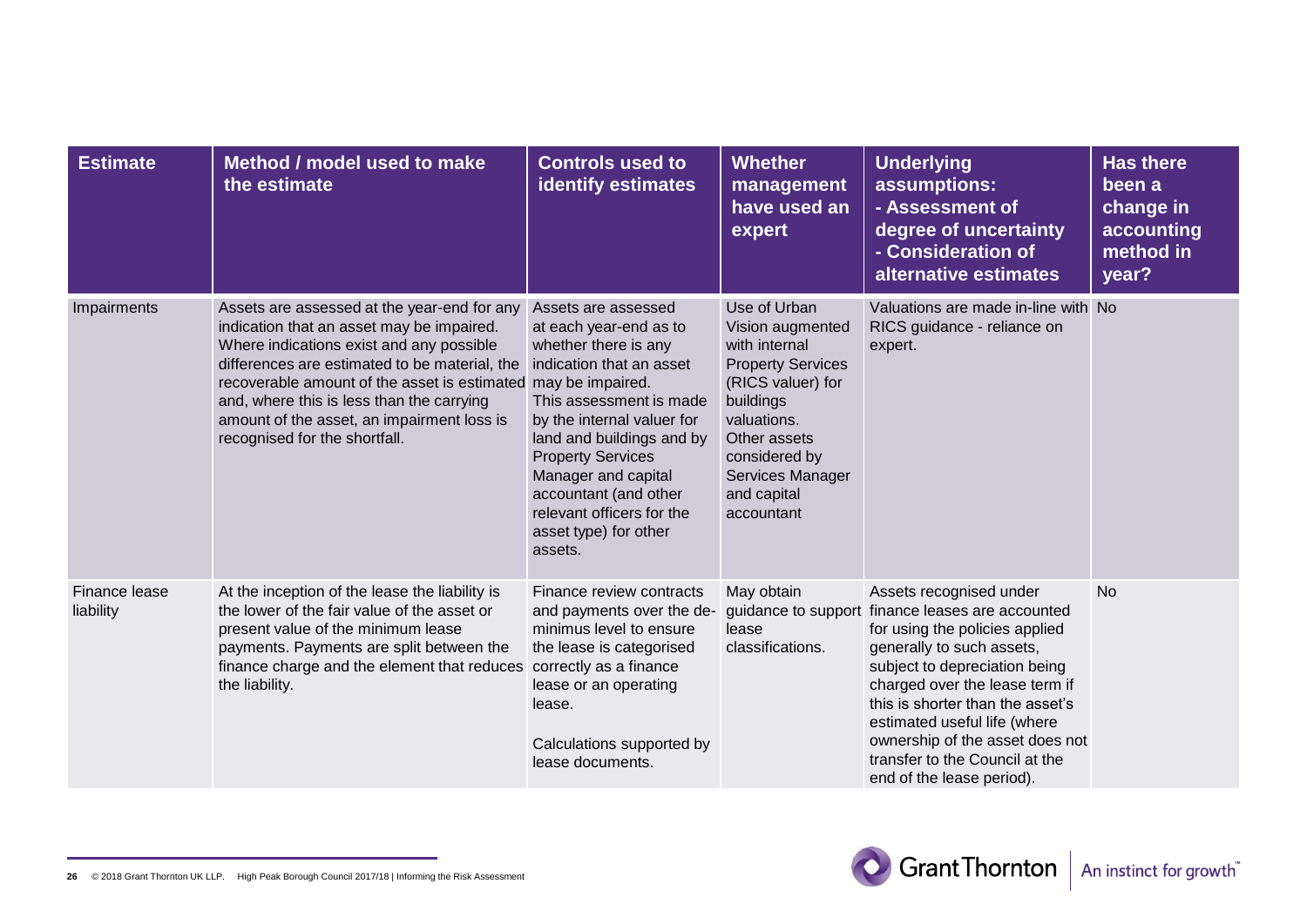| <b>Estimate</b>            | Method / model used to make<br>the estimate                                                                                                                                                                                                                                                                                                                       | <b>Controls used to</b><br><b>identify estimates</b>                                                                                                                                                                                                                                                                                                     | <b>Whether</b><br>management<br>have used an<br>expert                                                                                                                                                           | <b>Underlying</b><br>assumptions:<br>- Assessment of<br>degree of uncertainty<br>- Consideration of<br>alternative estimates                                                                                                                                                                                                                                                        | <b>Has there</b><br>been a<br>change in<br>accounting<br>method in<br>year? |
|----------------------------|-------------------------------------------------------------------------------------------------------------------------------------------------------------------------------------------------------------------------------------------------------------------------------------------------------------------------------------------------------------------|----------------------------------------------------------------------------------------------------------------------------------------------------------------------------------------------------------------------------------------------------------------------------------------------------------------------------------------------------------|------------------------------------------------------------------------------------------------------------------------------------------------------------------------------------------------------------------|-------------------------------------------------------------------------------------------------------------------------------------------------------------------------------------------------------------------------------------------------------------------------------------------------------------------------------------------------------------------------------------|-----------------------------------------------------------------------------|
| Impairments                | Assets are assessed at the year-end for any<br>indication that an asset may be impaired.<br>Where indications exist and any possible<br>differences are estimated to be material, the<br>recoverable amount of the asset is estimated<br>and, where this is less than the carrying<br>amount of the asset, an impairment loss is<br>recognised for the shortfall. | Assets are assessed<br>at each year-end as to<br>whether there is any<br>indication that an asset<br>may be impaired.<br>This assessment is made<br>by the internal valuer for<br>land and buildings and by<br><b>Property Services</b><br>Manager and capital<br>accountant (and other<br>relevant officers for the<br>asset type) for other<br>assets. | Use of Urban<br>Vision augmented<br>with internal<br><b>Property Services</b><br>(RICS valuer) for<br>buildings<br>valuations.<br>Other assets<br>considered by<br>Services Manager<br>and capital<br>accountant | Valuations are made in-line with No<br>RICS guidance - reliance on<br>expert.                                                                                                                                                                                                                                                                                                       |                                                                             |
| Finance lease<br>liability | At the inception of the lease the liability is<br>the lower of the fair value of the asset or<br>present value of the minimum lease<br>payments. Payments are split between the<br>finance charge and the element that reduces<br>the liability.                                                                                                                  | Finance review contracts<br>and payments over the de-<br>minimus level to ensure<br>the lease is categorised<br>correctly as a finance<br>lease or an operating<br>lease.<br>Calculations supported by<br>lease documents.                                                                                                                               | May obtain<br>lease<br>classifications.                                                                                                                                                                          | Assets recognised under<br>guidance to support finance leases are accounted<br>for using the policies applied<br>generally to such assets,<br>subject to depreciation being<br>charged over the lease term if<br>this is shorter than the asset's<br>estimated useful life (where<br>ownership of the asset does not<br>transfer to the Council at the<br>end of the lease period). | <b>No</b>                                                                   |

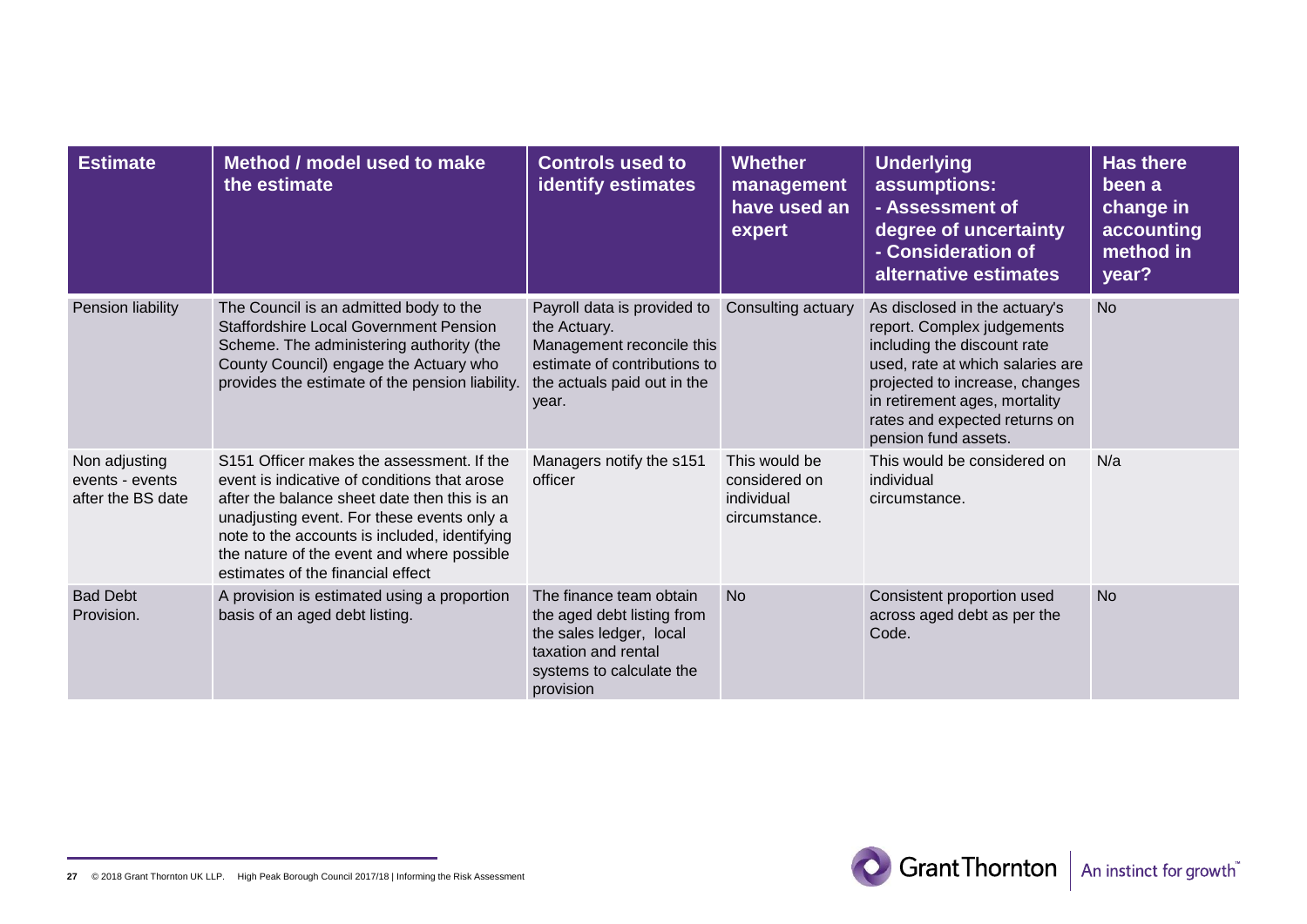| <b>Estimate</b>                                       | Method / model used to make<br>the estimate                                                                                                                                                                                                                                                                                 | <b>Controls used to</b><br><b>identify estimates</b>                                                                                             | <b>Whether</b><br>management<br>have used an<br>expert        | <b>Underlying</b><br>assumptions:<br>- Assessment of<br>degree of uncertainty<br>- Consideration of<br>alternative estimates                                                                                                                               | <b>Has there</b><br>been a<br>change in<br>accounting<br>method in<br>year? |
|-------------------------------------------------------|-----------------------------------------------------------------------------------------------------------------------------------------------------------------------------------------------------------------------------------------------------------------------------------------------------------------------------|--------------------------------------------------------------------------------------------------------------------------------------------------|---------------------------------------------------------------|------------------------------------------------------------------------------------------------------------------------------------------------------------------------------------------------------------------------------------------------------------|-----------------------------------------------------------------------------|
| Pension liability                                     | The Council is an admitted body to the<br><b>Staffordshire Local Government Pension</b><br>Scheme. The administering authority (the<br>County Council) engage the Actuary who<br>provides the estimate of the pension liability.                                                                                            | Payroll data is provided to<br>the Actuary.<br>Management reconcile this<br>estimate of contributions to<br>the actuals paid out in the<br>year. | Consulting actuary                                            | As disclosed in the actuary's<br>report. Complex judgements<br>including the discount rate<br>used, rate at which salaries are<br>projected to increase, changes<br>in retirement ages, mortality<br>rates and expected returns on<br>pension fund assets. | <b>No</b>                                                                   |
| Non adjusting<br>events - events<br>after the BS date | S151 Officer makes the assessment. If the<br>event is indicative of conditions that arose<br>after the balance sheet date then this is an<br>unadjusting event. For these events only a<br>note to the accounts is included, identifying<br>the nature of the event and where possible<br>estimates of the financial effect | Managers notify the s151<br>officer                                                                                                              | This would be<br>considered on<br>individual<br>circumstance. | This would be considered on<br>individual<br>circumstance.                                                                                                                                                                                                 | N/a                                                                         |
| <b>Bad Debt</b><br>Provision.                         | A provision is estimated using a proportion<br>basis of an aged debt listing.                                                                                                                                                                                                                                               | The finance team obtain<br>the aged debt listing from<br>the sales ledger, local<br>taxation and rental<br>systems to calculate the<br>provision | <b>No</b>                                                     | Consistent proportion used<br>across aged debt as per the<br>Code.                                                                                                                                                                                         | <b>No</b>                                                                   |

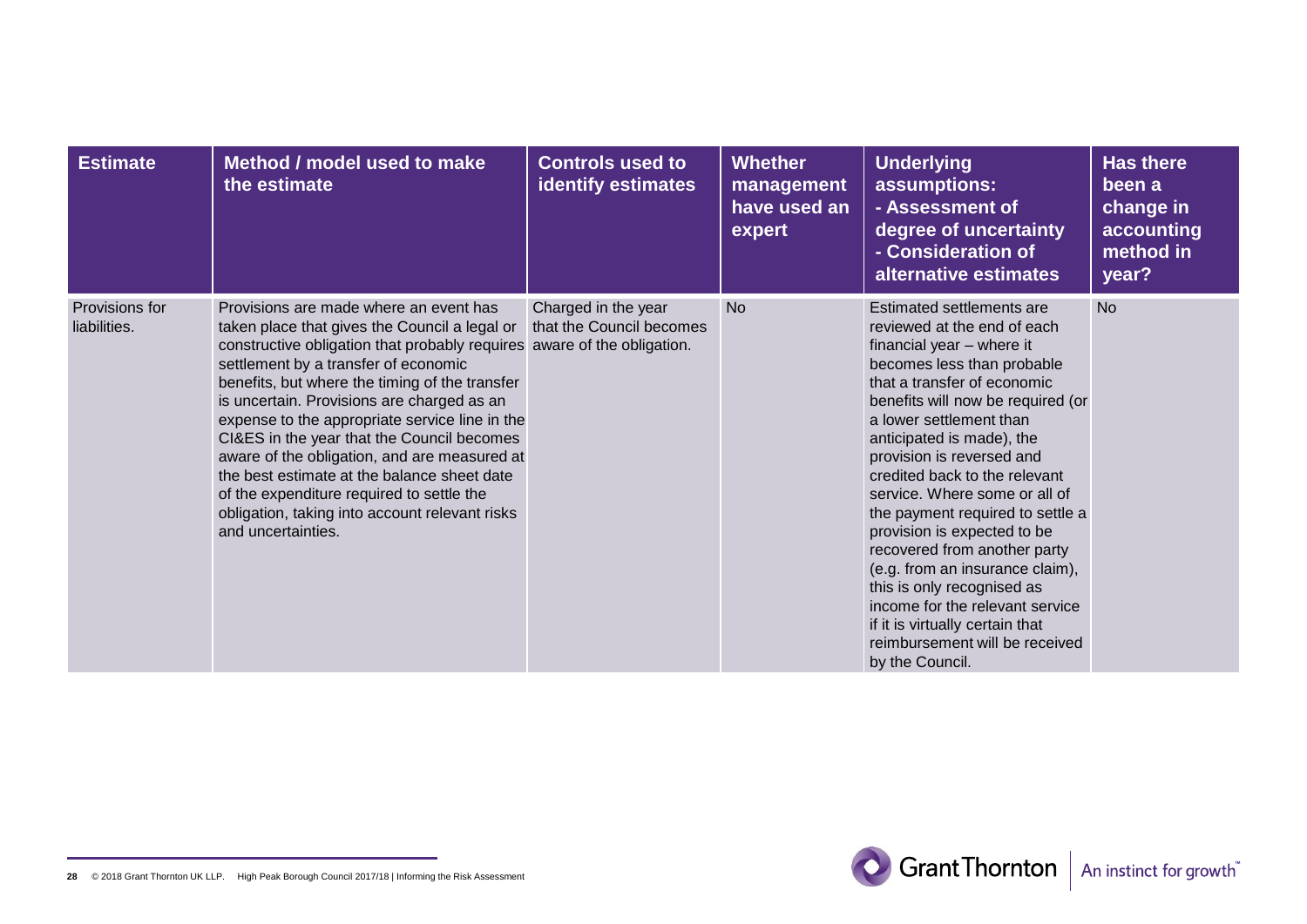| <b>Estimate</b>                | Method / model used to make<br>the estimate                                                                                                                                                                                                                                                                                                                                                                                                                                                                                                                                                                                    | <b>Controls used to</b><br><b>identify estimates</b> | <b>Whether</b><br>management<br>have used an<br>expert | <b>Underlying</b><br>assumptions:<br>- Assessment of<br>degree of uncertainty<br>- Consideration of<br>alternative estimates                                                                                                                                                                                                                                                                                                                                                                                                                                                                                                                  | <b>Has there</b><br>been a<br>change in<br>accounting<br>method in<br>year? |
|--------------------------------|--------------------------------------------------------------------------------------------------------------------------------------------------------------------------------------------------------------------------------------------------------------------------------------------------------------------------------------------------------------------------------------------------------------------------------------------------------------------------------------------------------------------------------------------------------------------------------------------------------------------------------|------------------------------------------------------|--------------------------------------------------------|-----------------------------------------------------------------------------------------------------------------------------------------------------------------------------------------------------------------------------------------------------------------------------------------------------------------------------------------------------------------------------------------------------------------------------------------------------------------------------------------------------------------------------------------------------------------------------------------------------------------------------------------------|-----------------------------------------------------------------------------|
| Provisions for<br>liabilities. | Provisions are made where an event has<br>taken place that gives the Council a legal or<br>constructive obligation that probably requires aware of the obligation.<br>settlement by a transfer of economic<br>benefits, but where the timing of the transfer<br>is uncertain. Provisions are charged as an<br>expense to the appropriate service line in the<br>CI&ES in the year that the Council becomes<br>aware of the obligation, and are measured at<br>the best estimate at the balance sheet date<br>of the expenditure required to settle the<br>obligation, taking into account relevant risks<br>and uncertainties. | Charged in the year<br>that the Council becomes      | <b>No</b>                                              | Estimated settlements are<br>reviewed at the end of each<br>financial year - where it<br>becomes less than probable<br>that a transfer of economic<br>benefits will now be required (or<br>a lower settlement than<br>anticipated is made), the<br>provision is reversed and<br>credited back to the relevant<br>service. Where some or all of<br>the payment required to settle a<br>provision is expected to be<br>recovered from another party<br>(e.g. from an insurance claim),<br>this is only recognised as<br>income for the relevant service<br>if it is virtually certain that<br>reimbursement will be received<br>by the Council. | <b>No</b>                                                                   |

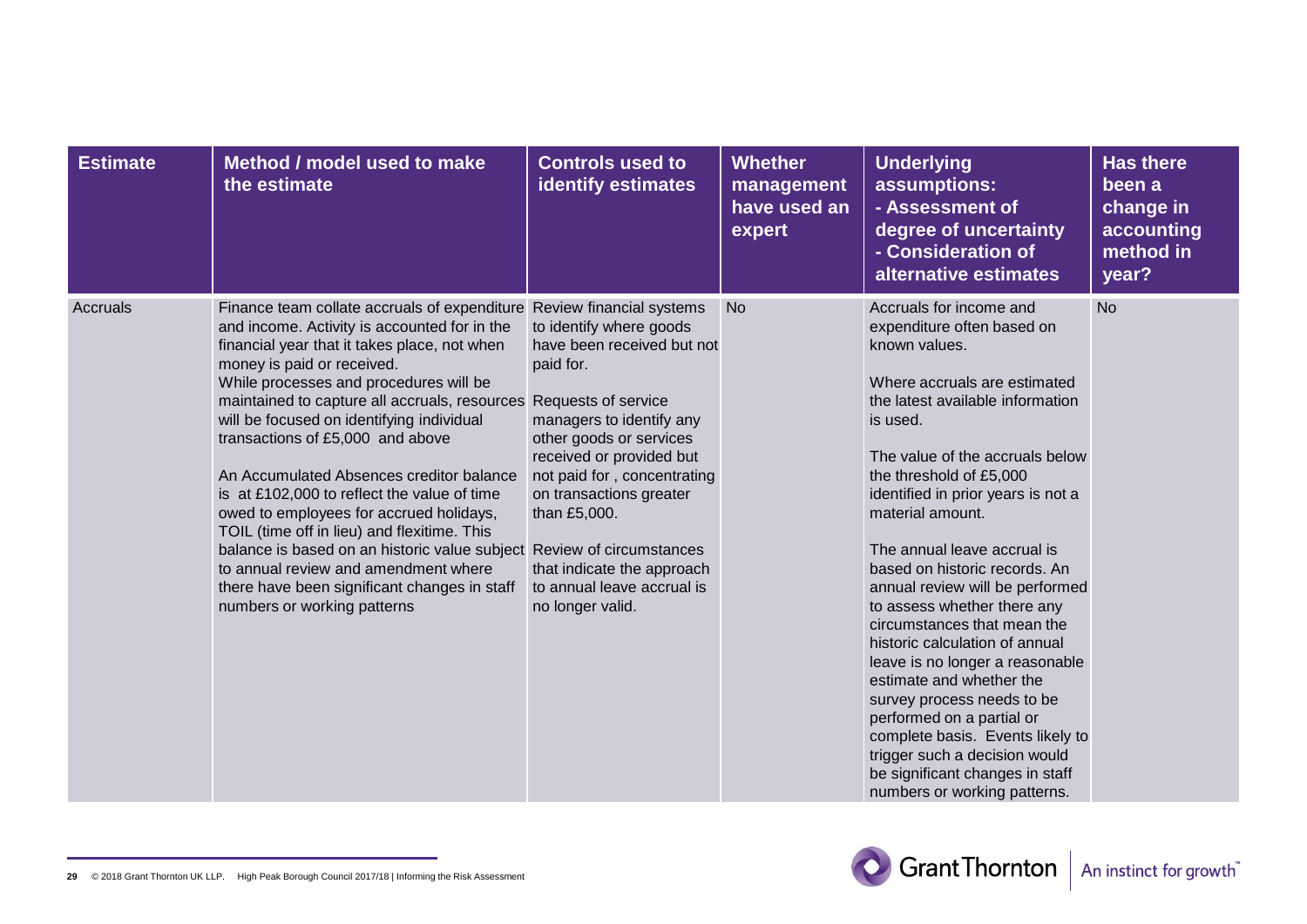| <b>Estimate</b> | Method / model used to make<br>the estimate                                                                                                                                                                                                                                                                                                                                                                                                                                                                                                                                                                                                                                                                                                 | <b>Controls used to</b><br><b>identify estimates</b>                                                                                                                                                                                                                                                                                                               | <b>Whether</b><br>management<br>have used an<br>expert | <b>Underlying</b><br>assumptions:<br>- Assessment of<br>degree of uncertainty<br>- Consideration of<br>alternative estimates                                                                                                                                                                                                                                                                                                                                                                                                                                                                                                                                                                                                                        | <b>Has there</b><br>been a<br>change in<br>accounting<br>method in<br>year? |
|-----------------|---------------------------------------------------------------------------------------------------------------------------------------------------------------------------------------------------------------------------------------------------------------------------------------------------------------------------------------------------------------------------------------------------------------------------------------------------------------------------------------------------------------------------------------------------------------------------------------------------------------------------------------------------------------------------------------------------------------------------------------------|--------------------------------------------------------------------------------------------------------------------------------------------------------------------------------------------------------------------------------------------------------------------------------------------------------------------------------------------------------------------|--------------------------------------------------------|-----------------------------------------------------------------------------------------------------------------------------------------------------------------------------------------------------------------------------------------------------------------------------------------------------------------------------------------------------------------------------------------------------------------------------------------------------------------------------------------------------------------------------------------------------------------------------------------------------------------------------------------------------------------------------------------------------------------------------------------------------|-----------------------------------------------------------------------------|
| Accruals        | Finance team collate accruals of expenditure<br>and income. Activity is accounted for in the<br>financial year that it takes place, not when<br>money is paid or received.<br>While processes and procedures will be<br>maintained to capture all accruals, resources<br>will be focused on identifying individual<br>transactions of £5,000 and above<br>An Accumulated Absences creditor balance<br>is at £102,000 to reflect the value of time<br>owed to employees for accrued holidays,<br>TOIL (time off in lieu) and flexitime. This<br>balance is based on an historic value subject Review of circumstances<br>to annual review and amendment where<br>there have been significant changes in staff<br>numbers or working patterns | Review financial systems<br>to identify where goods<br>have been received but not<br>paid for.<br>Requests of service<br>managers to identify any<br>other goods or services<br>received or provided but<br>not paid for, concentrating<br>on transactions greater<br>than £5,000.<br>that indicate the approach<br>to annual leave accrual is<br>no longer valid. | <b>No</b>                                              | Accruals for income and<br>expenditure often based on<br>known values.<br>Where accruals are estimated<br>the latest available information<br>is used.<br>The value of the accruals below<br>the threshold of £5,000<br>identified in prior years is not a<br>material amount.<br>The annual leave accrual is<br>based on historic records. An<br>annual review will be performed<br>to assess whether there any<br>circumstances that mean the<br>historic calculation of annual<br>leave is no longer a reasonable<br>estimate and whether the<br>survey process needs to be<br>performed on a partial or<br>complete basis. Events likely to<br>trigger such a decision would<br>be significant changes in staff<br>numbers or working patterns. | <b>No</b>                                                                   |